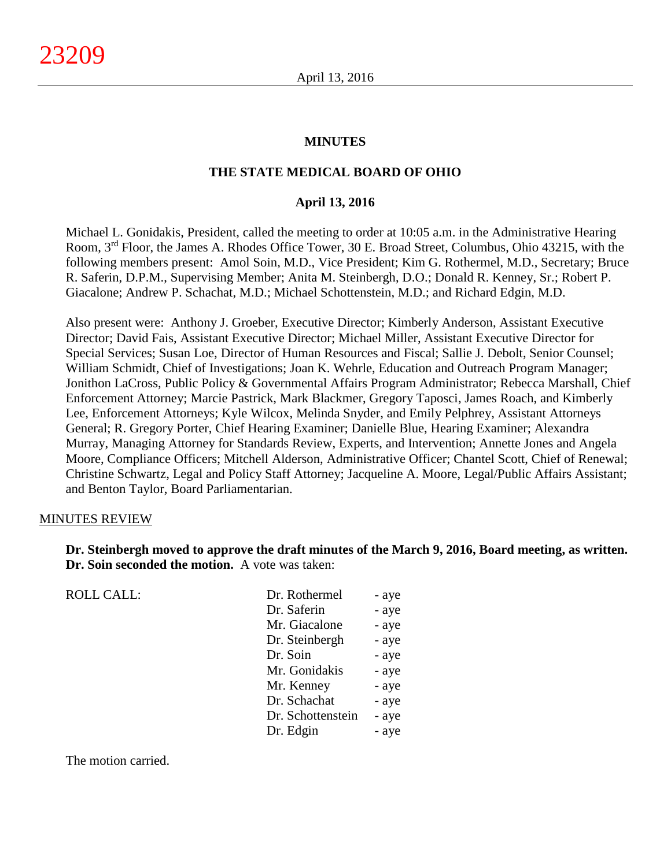#### **MINUTES**

#### **THE STATE MEDICAL BOARD OF OHIO**

#### **April 13, 2016**

Michael L. Gonidakis, President, called the meeting to order at 10:05 a.m. in the Administrative Hearing Room, 3rd Floor, the James A. Rhodes Office Tower, 30 E. Broad Street, Columbus, Ohio 43215, with the following members present: Amol Soin, M.D., Vice President; Kim G. Rothermel, M.D., Secretary; Bruce R. Saferin, D.P.M., Supervising Member; Anita M. Steinbergh, D.O.; Donald R. Kenney, Sr.; Robert P. Giacalone; Andrew P. Schachat, M.D.; Michael Schottenstein, M.D.; and Richard Edgin, M.D.

Also present were: Anthony J. Groeber, Executive Director; Kimberly Anderson, Assistant Executive Director; David Fais, Assistant Executive Director; Michael Miller, Assistant Executive Director for Special Services; Susan Loe, Director of Human Resources and Fiscal; Sallie J. Debolt, Senior Counsel; William Schmidt, Chief of Investigations; Joan K. Wehrle, Education and Outreach Program Manager; Jonithon LaCross, Public Policy & Governmental Affairs Program Administrator; Rebecca Marshall, Chief Enforcement Attorney; Marcie Pastrick, Mark Blackmer, Gregory Taposci, James Roach, and Kimberly Lee, Enforcement Attorneys; Kyle Wilcox, Melinda Snyder, and Emily Pelphrey, Assistant Attorneys General; R. Gregory Porter, Chief Hearing Examiner; Danielle Blue, Hearing Examiner; Alexandra Murray, Managing Attorney for Standards Review, Experts, and Intervention; Annette Jones and Angela Moore, Compliance Officers; Mitchell Alderson, Administrative Officer; Chantel Scott, Chief of Renewal; Christine Schwartz, Legal and Policy Staff Attorney; Jacqueline A. Moore, Legal/Public Affairs Assistant; and Benton Taylor, Board Parliamentarian.

#### MINUTES REVIEW

**Dr. Steinbergh moved to approve the draft minutes of the March 9, 2016, Board meeting, as written. Dr. Soin seconded the motion.** A vote was taken:

ROLL CALL:

| Dr. Rothermel     | - aye |
|-------------------|-------|
| Dr. Saferin       | - aye |
| Mr. Giacalone     | - aye |
| Dr. Steinbergh    | - aye |
| Dr. Soin          | - aye |
| Mr. Gonidakis     | - aye |
| Mr. Kenney        | - aye |
| Dr. Schachat      | - aye |
| Dr. Schottenstein | - aye |
| Dr. Edgin         | - aye |
|                   |       |

The motion carried.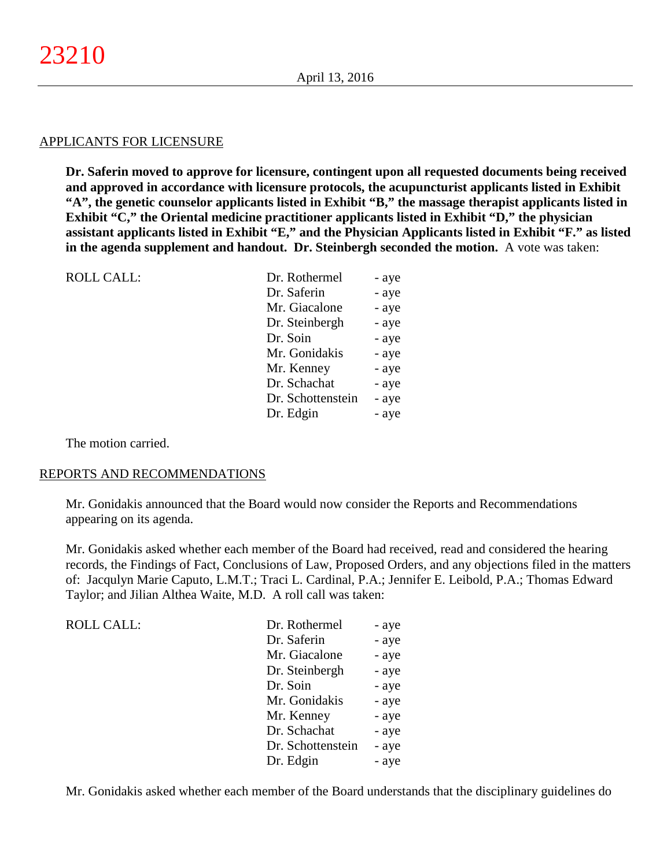#### APPLICANTS FOR LICENSURE

**Dr. Saferin moved to approve for licensure, contingent upon all requested documents being received and approved in accordance with licensure protocols, the acupuncturist applicants listed in Exhibit "A", the genetic counselor applicants listed in Exhibit "B," the massage therapist applicants listed in Exhibit "C," the Oriental medicine practitioner applicants listed in Exhibit "D," the physician assistant applicants listed in Exhibit "E," and the Physician Applicants listed in Exhibit "F." as listed in the agenda supplement and handout. Dr. Steinbergh seconded the motion.** A vote was taken:

| <b>ROLL CALL:</b> | Dr. Rothermel     | - aye |
|-------------------|-------------------|-------|
|                   | Dr. Saferin       | - aye |
|                   | Mr. Giacalone     | - aye |
|                   | Dr. Steinbergh    | - aye |
|                   | Dr. Soin          | - aye |
|                   | Mr. Gonidakis     | - aye |
|                   | Mr. Kenney        | - aye |
|                   | Dr. Schachat      | - aye |
|                   | Dr. Schottenstein | - aye |
|                   | Dr. Edgin         | - aye |
|                   |                   |       |

The motion carried.

#### REPORTS AND RECOMMENDATIONS

Mr. Gonidakis announced that the Board would now consider the Reports and Recommendations appearing on its agenda.

Mr. Gonidakis asked whether each member of the Board had received, read and considered the hearing records, the Findings of Fact, Conclusions of Law, Proposed Orders, and any objections filed in the matters of: Jacqulyn Marie Caputo, L.M.T.; Traci L. Cardinal, P.A.; Jennifer E. Leibold, P.A.; Thomas Edward Taylor; and Jilian Althea Waite, M.D. A roll call was taken:

| Dr. Rothermel     | - aye |
|-------------------|-------|
| Dr. Saferin       | - aye |
| Mr. Giacalone     | - aye |
| Dr. Steinbergh    | - aye |
| Dr. Soin          | - aye |
| Mr. Gonidakis     | - aye |
| Mr. Kenney        | - aye |
| Dr. Schachat      | - aye |
| Dr. Schottenstein | - aye |
| Dr. Edgin         | - aye |
|                   |       |

Mr. Gonidakis asked whether each member of the Board understands that the disciplinary guidelines do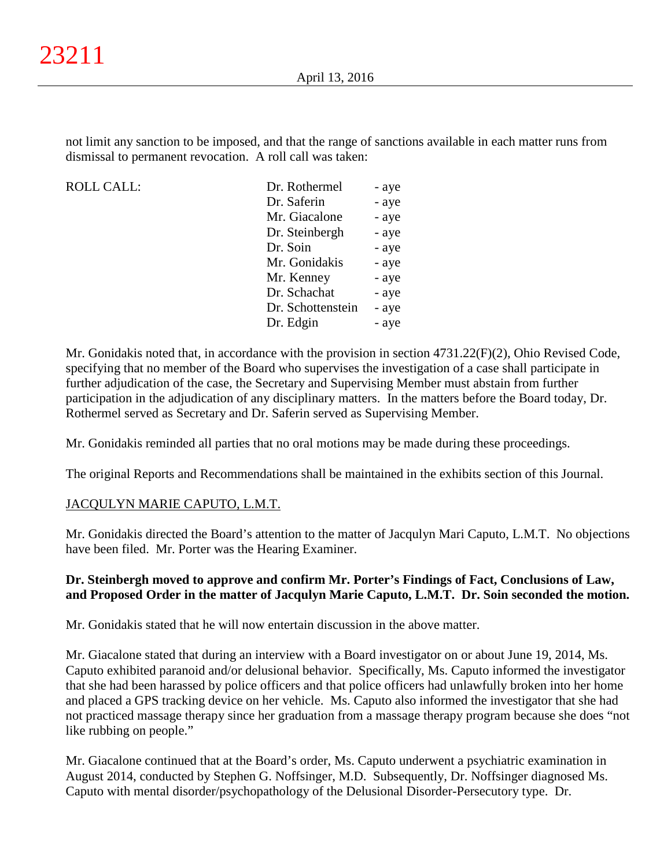not limit any sanction to be imposed, and that the range of sanctions available in each matter runs from dismissal to permanent revocation. A roll call was taken:

ROLL CALL:

| - aye |
|-------|
| - aye |
| - aye |
| - aye |
| - aye |
| - aye |
| - aye |
| - aye |
| - aye |
| - aye |
|       |

Mr. Gonidakis noted that, in accordance with the provision in section 4731.22(F)(2), Ohio Revised Code, specifying that no member of the Board who supervises the investigation of a case shall participate in further adjudication of the case, the Secretary and Supervising Member must abstain from further participation in the adjudication of any disciplinary matters. In the matters before the Board today, Dr. Rothermel served as Secretary and Dr. Saferin served as Supervising Member.

Mr. Gonidakis reminded all parties that no oral motions may be made during these proceedings.

The original Reports and Recommendations shall be maintained in the exhibits section of this Journal.

## JACQULYN MARIE CAPUTO, L.M.T.

Mr. Gonidakis directed the Board's attention to the matter of Jacqulyn Mari Caputo, L.M.T. No objections have been filed. Mr. Porter was the Hearing Examiner.

#### **Dr. Steinbergh moved to approve and confirm Mr. Porter's Findings of Fact, Conclusions of Law, and Proposed Order in the matter of Jacqulyn Marie Caputo, L.M.T. Dr. Soin seconded the motion.**

Mr. Gonidakis stated that he will now entertain discussion in the above matter.

Mr. Giacalone stated that during an interview with a Board investigator on or about June 19, 2014, Ms. Caputo exhibited paranoid and/or delusional behavior. Specifically, Ms. Caputo informed the investigator that she had been harassed by police officers and that police officers had unlawfully broken into her home and placed a GPS tracking device on her vehicle. Ms. Caputo also informed the investigator that she had not practiced massage therapy since her graduation from a massage therapy program because she does "not like rubbing on people."

Mr. Giacalone continued that at the Board's order, Ms. Caputo underwent a psychiatric examination in August 2014, conducted by Stephen G. Noffsinger, M.D. Subsequently, Dr. Noffsinger diagnosed Ms. Caputo with mental disorder/psychopathology of the Delusional Disorder-Persecutory type. Dr.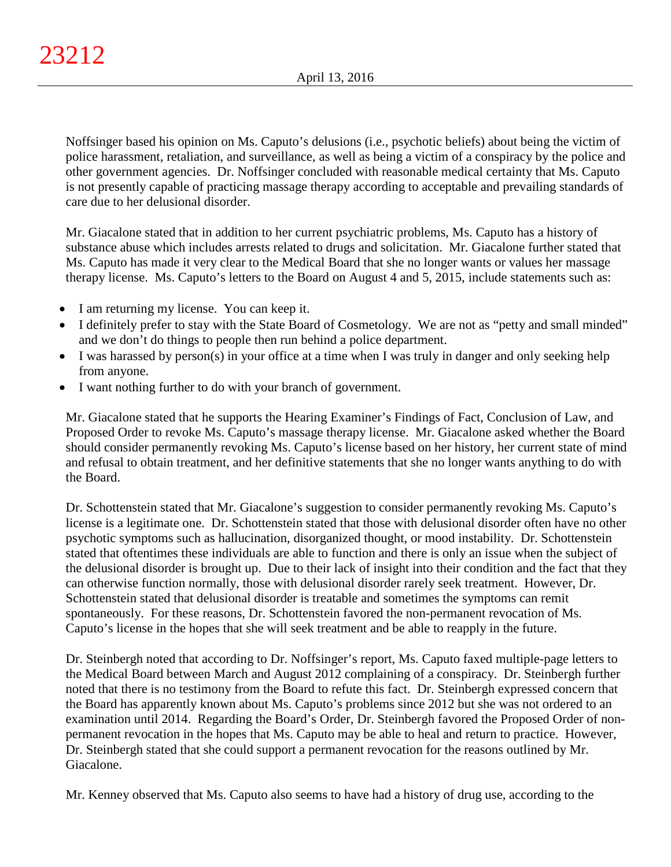Noffsinger based his opinion on Ms. Caputo's delusions (i.e., psychotic beliefs) about being the victim of police harassment, retaliation, and surveillance, as well as being a victim of a conspiracy by the police and other government agencies. Dr. Noffsinger concluded with reasonable medical certainty that Ms. Caputo is not presently capable of practicing massage therapy according to acceptable and prevailing standards of care due to her delusional disorder.

Mr. Giacalone stated that in addition to her current psychiatric problems, Ms. Caputo has a history of substance abuse which includes arrests related to drugs and solicitation. Mr. Giacalone further stated that Ms. Caputo has made it very clear to the Medical Board that she no longer wants or values her massage therapy license. Ms. Caputo's letters to the Board on August 4 and 5, 2015, include statements such as:

- I am returning my license. You can keep it.
- I definitely prefer to stay with the State Board of Cosmetology. We are not as "petty and small minded" and we don't do things to people then run behind a police department.
- I was harassed by person(s) in your office at a time when I was truly in danger and only seeking help from anyone.
- I want nothing further to do with your branch of government.

Mr. Giacalone stated that he supports the Hearing Examiner's Findings of Fact, Conclusion of Law, and Proposed Order to revoke Ms. Caputo's massage therapy license. Mr. Giacalone asked whether the Board should consider permanently revoking Ms. Caputo's license based on her history, her current state of mind and refusal to obtain treatment, and her definitive statements that she no longer wants anything to do with the Board.

Dr. Schottenstein stated that Mr. Giacalone's suggestion to consider permanently revoking Ms. Caputo's license is a legitimate one. Dr. Schottenstein stated that those with delusional disorder often have no other psychotic symptoms such as hallucination, disorganized thought, or mood instability. Dr. Schottenstein stated that oftentimes these individuals are able to function and there is only an issue when the subject of the delusional disorder is brought up. Due to their lack of insight into their condition and the fact that they can otherwise function normally, those with delusional disorder rarely seek treatment. However, Dr. Schottenstein stated that delusional disorder is treatable and sometimes the symptoms can remit spontaneously. For these reasons, Dr. Schottenstein favored the non-permanent revocation of Ms. Caputo's license in the hopes that she will seek treatment and be able to reapply in the future.

Dr. Steinbergh noted that according to Dr. Noffsinger's report, Ms. Caputo faxed multiple-page letters to the Medical Board between March and August 2012 complaining of a conspiracy. Dr. Steinbergh further noted that there is no testimony from the Board to refute this fact. Dr. Steinbergh expressed concern that the Board has apparently known about Ms. Caputo's problems since 2012 but she was not ordered to an examination until 2014. Regarding the Board's Order, Dr. Steinbergh favored the Proposed Order of nonpermanent revocation in the hopes that Ms. Caputo may be able to heal and return to practice. However, Dr. Steinbergh stated that she could support a permanent revocation for the reasons outlined by Mr. Giacalone.

Mr. Kenney observed that Ms. Caputo also seems to have had a history of drug use, according to the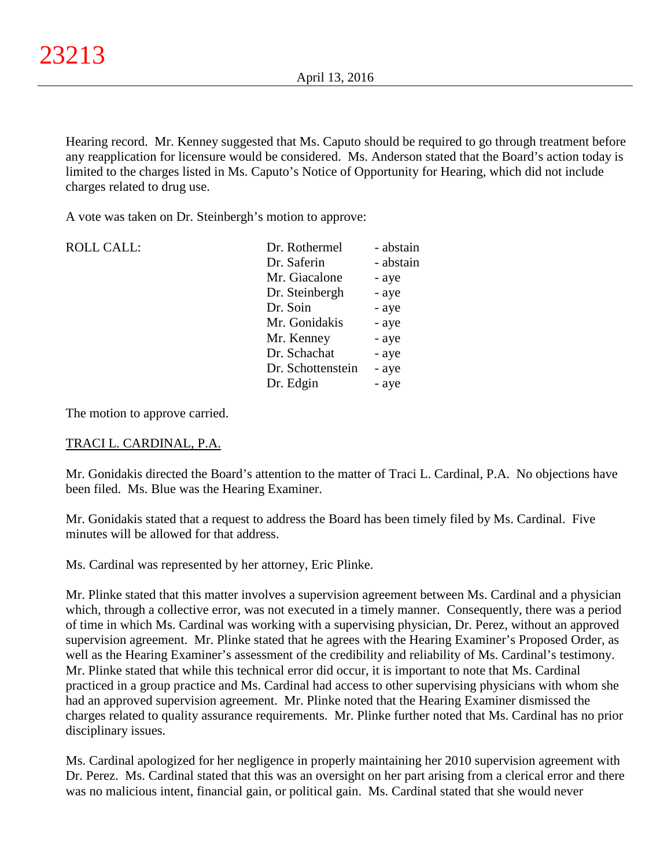Hearing record. Mr. Kenney suggested that Ms. Caputo should be required to go through treatment before any reapplication for licensure would be considered. Ms. Anderson stated that the Board's action today is limited to the charges listed in Ms. Caputo's Notice of Opportunity for Hearing, which did not include charges related to drug use.

A vote was taken on Dr. Steinbergh's motion to approve:

| <b>ROLL CALL:</b> | Dr. Rothermel     | - abstain |
|-------------------|-------------------|-----------|
|                   | Dr. Saferin       | - abstain |
|                   | Mr. Giacalone     | - aye     |
|                   | Dr. Steinbergh    | - aye     |
|                   | Dr. Soin          | - aye     |
|                   | Mr. Gonidakis     | - aye     |
|                   | Mr. Kenney        | - aye     |
|                   | Dr. Schachat      | - aye     |
|                   | Dr. Schottenstein | - aye     |
|                   | Dr. Edgin         | - aye     |
|                   |                   |           |

The motion to approve carried.

## TRACI L. CARDINAL, P.A.

Mr. Gonidakis directed the Board's attention to the matter of Traci L. Cardinal, P.A. No objections have been filed. Ms. Blue was the Hearing Examiner.

Mr. Gonidakis stated that a request to address the Board has been timely filed by Ms. Cardinal. Five minutes will be allowed for that address.

Ms. Cardinal was represented by her attorney, Eric Plinke.

Mr. Plinke stated that this matter involves a supervision agreement between Ms. Cardinal and a physician which, through a collective error, was not executed in a timely manner. Consequently, there was a period of time in which Ms. Cardinal was working with a supervising physician, Dr. Perez, without an approved supervision agreement. Mr. Plinke stated that he agrees with the Hearing Examiner's Proposed Order, as well as the Hearing Examiner's assessment of the credibility and reliability of Ms. Cardinal's testimony. Mr. Plinke stated that while this technical error did occur, it is important to note that Ms. Cardinal practiced in a group practice and Ms. Cardinal had access to other supervising physicians with whom she had an approved supervision agreement. Mr. Plinke noted that the Hearing Examiner dismissed the charges related to quality assurance requirements. Mr. Plinke further noted that Ms. Cardinal has no prior disciplinary issues.

Ms. Cardinal apologized for her negligence in properly maintaining her 2010 supervision agreement with Dr. Perez. Ms. Cardinal stated that this was an oversight on her part arising from a clerical error and there was no malicious intent, financial gain, or political gain. Ms. Cardinal stated that she would never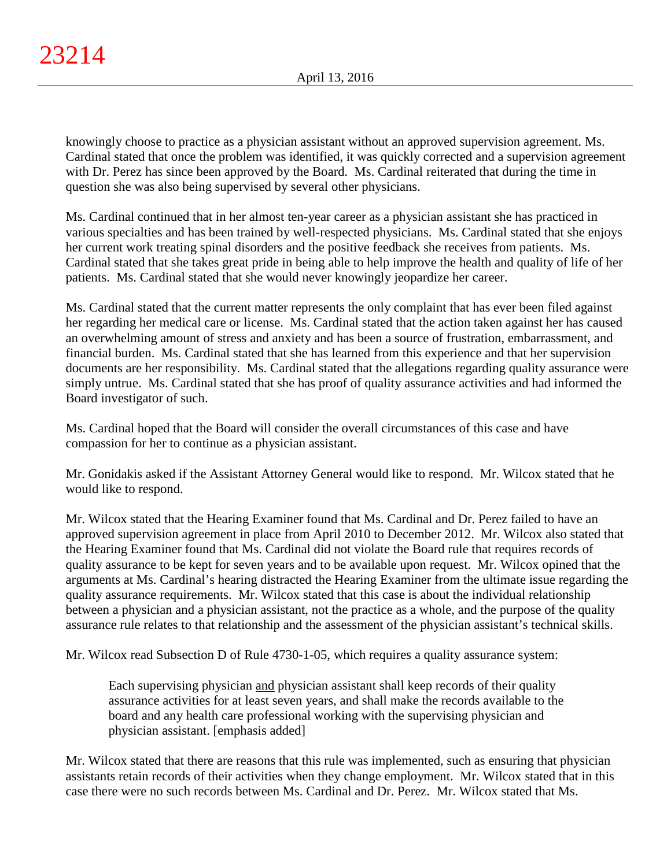knowingly choose to practice as a physician assistant without an approved supervision agreement. Ms. Cardinal stated that once the problem was identified, it was quickly corrected and a supervision agreement with Dr. Perez has since been approved by the Board. Ms. Cardinal reiterated that during the time in question she was also being supervised by several other physicians.

Ms. Cardinal continued that in her almost ten-year career as a physician assistant she has practiced in various specialties and has been trained by well-respected physicians. Ms. Cardinal stated that she enjoys her current work treating spinal disorders and the positive feedback she receives from patients. Ms. Cardinal stated that she takes great pride in being able to help improve the health and quality of life of her patients. Ms. Cardinal stated that she would never knowingly jeopardize her career.

Ms. Cardinal stated that the current matter represents the only complaint that has ever been filed against her regarding her medical care or license. Ms. Cardinal stated that the action taken against her has caused an overwhelming amount of stress and anxiety and has been a source of frustration, embarrassment, and financial burden. Ms. Cardinal stated that she has learned from this experience and that her supervision documents are her responsibility. Ms. Cardinal stated that the allegations regarding quality assurance were simply untrue. Ms. Cardinal stated that she has proof of quality assurance activities and had informed the Board investigator of such.

Ms. Cardinal hoped that the Board will consider the overall circumstances of this case and have compassion for her to continue as a physician assistant.

Mr. Gonidakis asked if the Assistant Attorney General would like to respond. Mr. Wilcox stated that he would like to respond.

Mr. Wilcox stated that the Hearing Examiner found that Ms. Cardinal and Dr. Perez failed to have an approved supervision agreement in place from April 2010 to December 2012. Mr. Wilcox also stated that the Hearing Examiner found that Ms. Cardinal did not violate the Board rule that requires records of quality assurance to be kept for seven years and to be available upon request. Mr. Wilcox opined that the arguments at Ms. Cardinal's hearing distracted the Hearing Examiner from the ultimate issue regarding the quality assurance requirements. Mr. Wilcox stated that this case is about the individual relationship between a physician and a physician assistant, not the practice as a whole, and the purpose of the quality assurance rule relates to that relationship and the assessment of the physician assistant's technical skills.

Mr. Wilcox read Subsection D of Rule 4730-1-05, which requires a quality assurance system:

Each supervising physician and physician assistant shall keep records of their quality assurance activities for at least seven years, and shall make the records available to the board and any health care professional working with the supervising physician and physician assistant. [emphasis added]

Mr. Wilcox stated that there are reasons that this rule was implemented, such as ensuring that physician assistants retain records of their activities when they change employment. Mr. Wilcox stated that in this case there were no such records between Ms. Cardinal and Dr. Perez. Mr. Wilcox stated that Ms.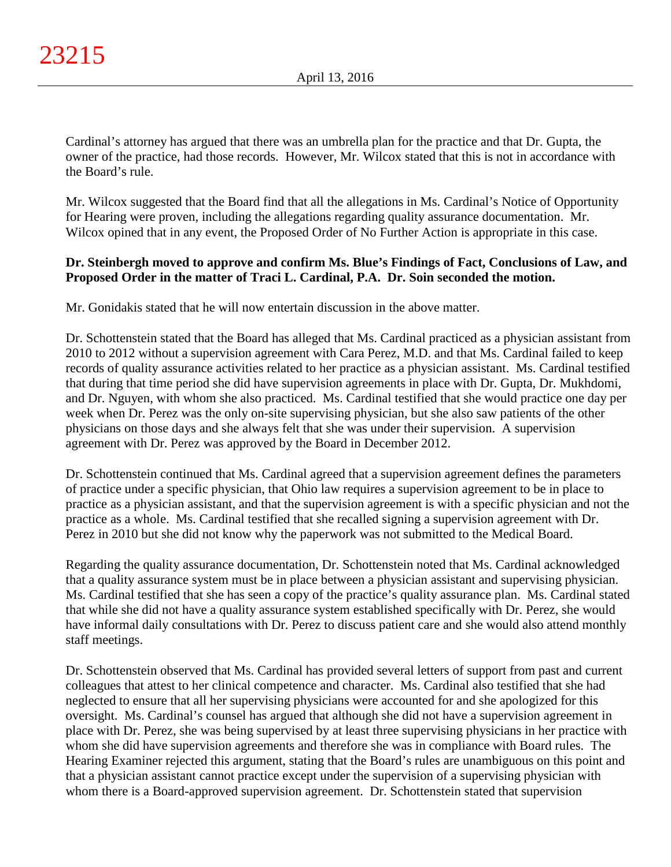Cardinal's attorney has argued that there was an umbrella plan for the practice and that Dr. Gupta, the owner of the practice, had those records. However, Mr. Wilcox stated that this is not in accordance with the Board's rule.

Mr. Wilcox suggested that the Board find that all the allegations in Ms. Cardinal's Notice of Opportunity for Hearing were proven, including the allegations regarding quality assurance documentation. Mr. Wilcox opined that in any event, the Proposed Order of No Further Action is appropriate in this case.

# **Dr. Steinbergh moved to approve and confirm Ms. Blue's Findings of Fact, Conclusions of Law, and Proposed Order in the matter of Traci L. Cardinal, P.A. Dr. Soin seconded the motion.**

Mr. Gonidakis stated that he will now entertain discussion in the above matter.

Dr. Schottenstein stated that the Board has alleged that Ms. Cardinal practiced as a physician assistant from 2010 to 2012 without a supervision agreement with Cara Perez, M.D. and that Ms. Cardinal failed to keep records of quality assurance activities related to her practice as a physician assistant. Ms. Cardinal testified that during that time period she did have supervision agreements in place with Dr. Gupta, Dr. Mukhdomi, and Dr. Nguyen, with whom she also practiced. Ms. Cardinal testified that she would practice one day per week when Dr. Perez was the only on-site supervising physician, but she also saw patients of the other physicians on those days and she always felt that she was under their supervision. A supervision agreement with Dr. Perez was approved by the Board in December 2012.

Dr. Schottenstein continued that Ms. Cardinal agreed that a supervision agreement defines the parameters of practice under a specific physician, that Ohio law requires a supervision agreement to be in place to practice as a physician assistant, and that the supervision agreement is with a specific physician and not the practice as a whole. Ms. Cardinal testified that she recalled signing a supervision agreement with Dr. Perez in 2010 but she did not know why the paperwork was not submitted to the Medical Board.

Regarding the quality assurance documentation, Dr. Schottenstein noted that Ms. Cardinal acknowledged that a quality assurance system must be in place between a physician assistant and supervising physician. Ms. Cardinal testified that she has seen a copy of the practice's quality assurance plan. Ms. Cardinal stated that while she did not have a quality assurance system established specifically with Dr. Perez, she would have informal daily consultations with Dr. Perez to discuss patient care and she would also attend monthly staff meetings.

Dr. Schottenstein observed that Ms. Cardinal has provided several letters of support from past and current colleagues that attest to her clinical competence and character. Ms. Cardinal also testified that she had neglected to ensure that all her supervising physicians were accounted for and she apologized for this oversight. Ms. Cardinal's counsel has argued that although she did not have a supervision agreement in place with Dr. Perez, she was being supervised by at least three supervising physicians in her practice with whom she did have supervision agreements and therefore she was in compliance with Board rules. The Hearing Examiner rejected this argument, stating that the Board's rules are unambiguous on this point and that a physician assistant cannot practice except under the supervision of a supervising physician with whom there is a Board-approved supervision agreement. Dr. Schottenstein stated that supervision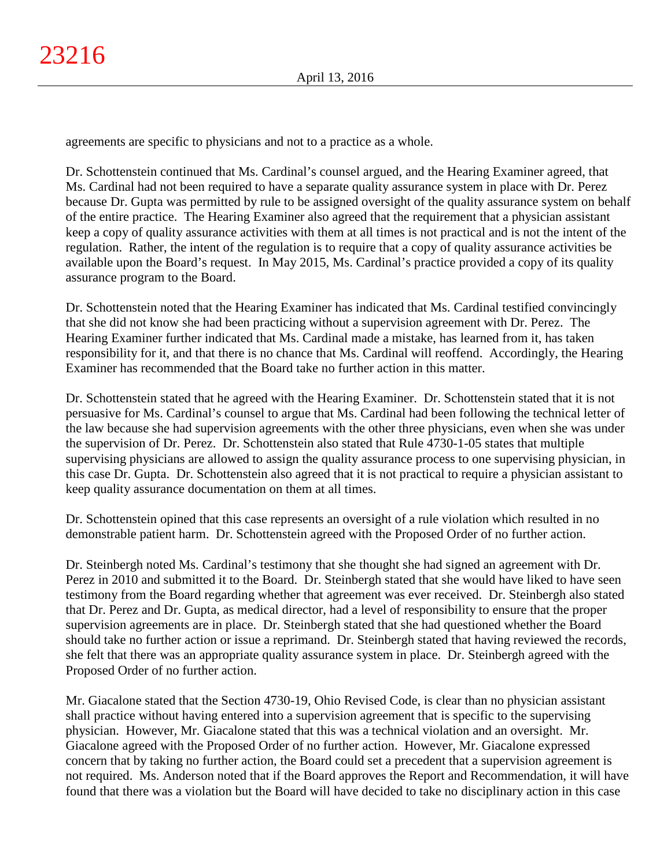agreements are specific to physicians and not to a practice as a whole.

Dr. Schottenstein continued that Ms. Cardinal's counsel argued, and the Hearing Examiner agreed, that Ms. Cardinal had not been required to have a separate quality assurance system in place with Dr. Perez because Dr. Gupta was permitted by rule to be assigned oversight of the quality assurance system on behalf of the entire practice. The Hearing Examiner also agreed that the requirement that a physician assistant keep a copy of quality assurance activities with them at all times is not practical and is not the intent of the regulation. Rather, the intent of the regulation is to require that a copy of quality assurance activities be available upon the Board's request. In May 2015, Ms. Cardinal's practice provided a copy of its quality assurance program to the Board.

Dr. Schottenstein noted that the Hearing Examiner has indicated that Ms. Cardinal testified convincingly that she did not know she had been practicing without a supervision agreement with Dr. Perez. The Hearing Examiner further indicated that Ms. Cardinal made a mistake, has learned from it, has taken responsibility for it, and that there is no chance that Ms. Cardinal will reoffend. Accordingly, the Hearing Examiner has recommended that the Board take no further action in this matter.

Dr. Schottenstein stated that he agreed with the Hearing Examiner. Dr. Schottenstein stated that it is not persuasive for Ms. Cardinal's counsel to argue that Ms. Cardinal had been following the technical letter of the law because she had supervision agreements with the other three physicians, even when she was under the supervision of Dr. Perez. Dr. Schottenstein also stated that Rule 4730-1-05 states that multiple supervising physicians are allowed to assign the quality assurance process to one supervising physician, in this case Dr. Gupta. Dr. Schottenstein also agreed that it is not practical to require a physician assistant to keep quality assurance documentation on them at all times.

Dr. Schottenstein opined that this case represents an oversight of a rule violation which resulted in no demonstrable patient harm. Dr. Schottenstein agreed with the Proposed Order of no further action.

Dr. Steinbergh noted Ms. Cardinal's testimony that she thought she had signed an agreement with Dr. Perez in 2010 and submitted it to the Board. Dr. Steinbergh stated that she would have liked to have seen testimony from the Board regarding whether that agreement was ever received. Dr. Steinbergh also stated that Dr. Perez and Dr. Gupta, as medical director, had a level of responsibility to ensure that the proper supervision agreements are in place. Dr. Steinbergh stated that she had questioned whether the Board should take no further action or issue a reprimand. Dr. Steinbergh stated that having reviewed the records, she felt that there was an appropriate quality assurance system in place. Dr. Steinbergh agreed with the Proposed Order of no further action.

Mr. Giacalone stated that the Section 4730-19, Ohio Revised Code, is clear than no physician assistant shall practice without having entered into a supervision agreement that is specific to the supervising physician. However, Mr. Giacalone stated that this was a technical violation and an oversight. Mr. Giacalone agreed with the Proposed Order of no further action. However, Mr. Giacalone expressed concern that by taking no further action, the Board could set a precedent that a supervision agreement is not required. Ms. Anderson noted that if the Board approves the Report and Recommendation, it will have found that there was a violation but the Board will have decided to take no disciplinary action in this case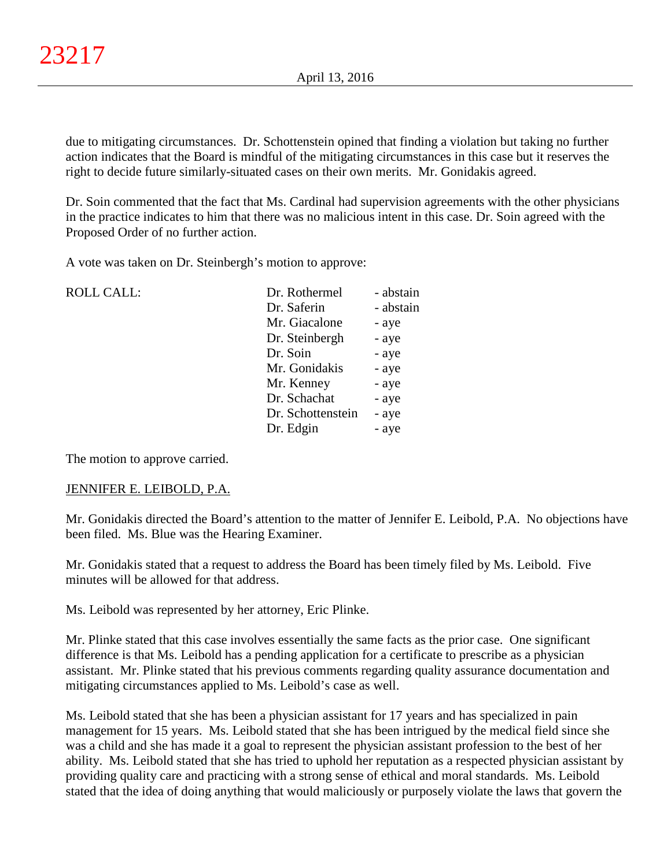due to mitigating circumstances. Dr. Schottenstein opined that finding a violation but taking no further action indicates that the Board is mindful of the mitigating circumstances in this case but it reserves the right to decide future similarly-situated cases on their own merits. Mr. Gonidakis agreed.

Dr. Soin commented that the fact that Ms. Cardinal had supervision agreements with the other physicians in the practice indicates to him that there was no malicious intent in this case. Dr. Soin agreed with the Proposed Order of no further action.

A vote was taken on Dr. Steinbergh's motion to approve:

| <b>ROLL CALL:</b> | Dr. Rothermel     | - abstain |
|-------------------|-------------------|-----------|
|                   | Dr. Saferin       | - abstain |
|                   | Mr. Giacalone     | - aye     |
|                   | Dr. Steinbergh    | - aye     |
|                   | Dr. Soin          | - aye     |
|                   | Mr. Gonidakis     | - aye     |
|                   | Mr. Kenney        | - aye     |
|                   | Dr. Schachat      | - aye     |
|                   | Dr. Schottenstein | - aye     |
|                   | Dr. Edgin         | - aye     |
|                   |                   |           |

The motion to approve carried.

## JENNIFER E. LEIBOLD, P.A.

Mr. Gonidakis directed the Board's attention to the matter of Jennifer E. Leibold, P.A. No objections have been filed. Ms. Blue was the Hearing Examiner.

Mr. Gonidakis stated that a request to address the Board has been timely filed by Ms. Leibold. Five minutes will be allowed for that address.

Ms. Leibold was represented by her attorney, Eric Plinke.

Mr. Plinke stated that this case involves essentially the same facts as the prior case. One significant difference is that Ms. Leibold has a pending application for a certificate to prescribe as a physician assistant. Mr. Plinke stated that his previous comments regarding quality assurance documentation and mitigating circumstances applied to Ms. Leibold's case as well.

Ms. Leibold stated that she has been a physician assistant for 17 years and has specialized in pain management for 15 years. Ms. Leibold stated that she has been intrigued by the medical field since she was a child and she has made it a goal to represent the physician assistant profession to the best of her ability. Ms. Leibold stated that she has tried to uphold her reputation as a respected physician assistant by providing quality care and practicing with a strong sense of ethical and moral standards. Ms. Leibold stated that the idea of doing anything that would maliciously or purposely violate the laws that govern the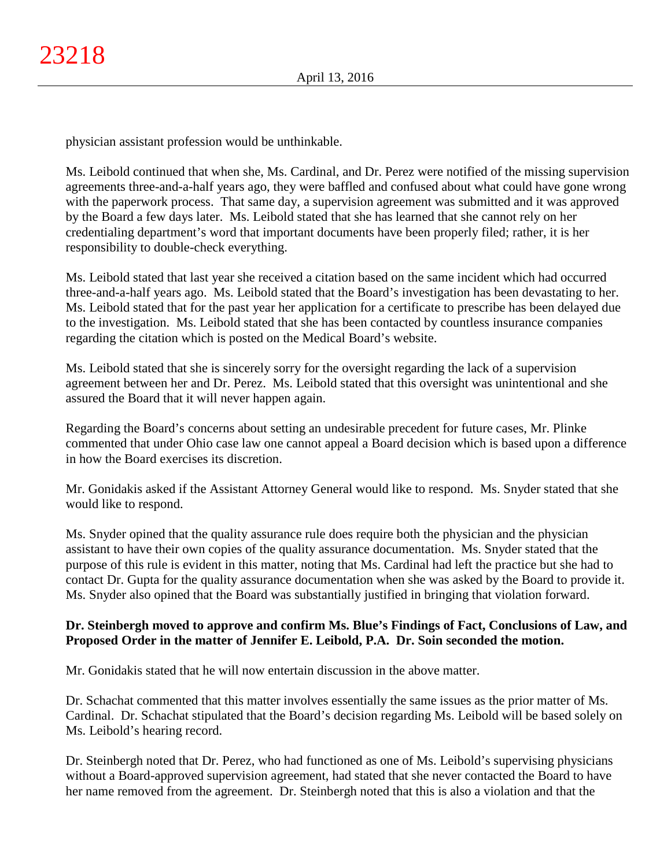physician assistant profession would be unthinkable.

Ms. Leibold continued that when she, Ms. Cardinal, and Dr. Perez were notified of the missing supervision agreements three-and-a-half years ago, they were baffled and confused about what could have gone wrong with the paperwork process. That same day, a supervision agreement was submitted and it was approved by the Board a few days later. Ms. Leibold stated that she has learned that she cannot rely on her credentialing department's word that important documents have been properly filed; rather, it is her responsibility to double-check everything.

Ms. Leibold stated that last year she received a citation based on the same incident which had occurred three-and-a-half years ago. Ms. Leibold stated that the Board's investigation has been devastating to her. Ms. Leibold stated that for the past year her application for a certificate to prescribe has been delayed due to the investigation. Ms. Leibold stated that she has been contacted by countless insurance companies regarding the citation which is posted on the Medical Board's website.

Ms. Leibold stated that she is sincerely sorry for the oversight regarding the lack of a supervision agreement between her and Dr. Perez. Ms. Leibold stated that this oversight was unintentional and she assured the Board that it will never happen again.

Regarding the Board's concerns about setting an undesirable precedent for future cases, Mr. Plinke commented that under Ohio case law one cannot appeal a Board decision which is based upon a difference in how the Board exercises its discretion.

Mr. Gonidakis asked if the Assistant Attorney General would like to respond. Ms. Snyder stated that she would like to respond.

Ms. Snyder opined that the quality assurance rule does require both the physician and the physician assistant to have their own copies of the quality assurance documentation. Ms. Snyder stated that the purpose of this rule is evident in this matter, noting that Ms. Cardinal had left the practice but she had to contact Dr. Gupta for the quality assurance documentation when she was asked by the Board to provide it. Ms. Snyder also opined that the Board was substantially justified in bringing that violation forward.

# **Dr. Steinbergh moved to approve and confirm Ms. Blue's Findings of Fact, Conclusions of Law, and Proposed Order in the matter of Jennifer E. Leibold, P.A. Dr. Soin seconded the motion.**

Mr. Gonidakis stated that he will now entertain discussion in the above matter.

Dr. Schachat commented that this matter involves essentially the same issues as the prior matter of Ms. Cardinal. Dr. Schachat stipulated that the Board's decision regarding Ms. Leibold will be based solely on Ms. Leibold's hearing record.

Dr. Steinbergh noted that Dr. Perez, who had functioned as one of Ms. Leibold's supervising physicians without a Board-approved supervision agreement, had stated that she never contacted the Board to have her name removed from the agreement. Dr. Steinbergh noted that this is also a violation and that the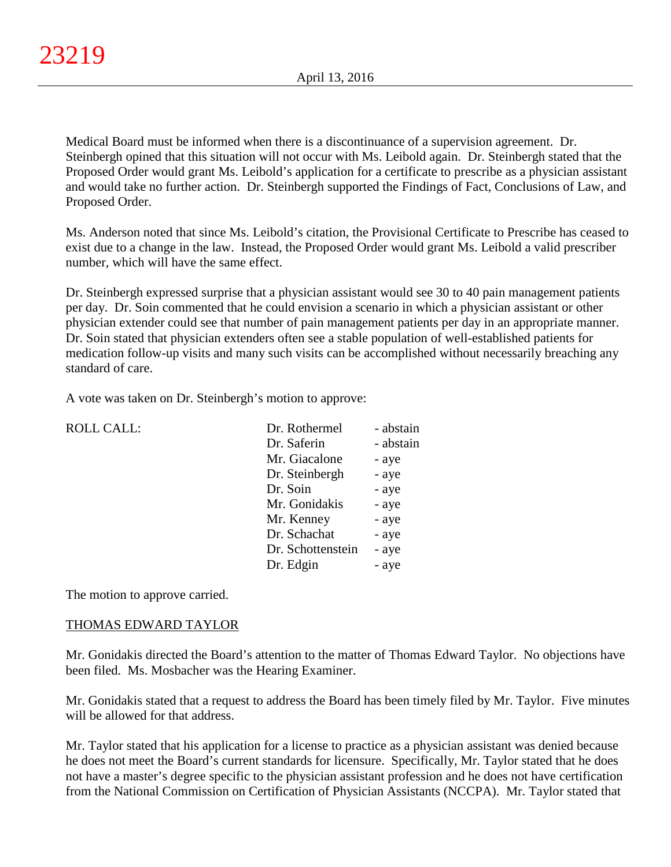Medical Board must be informed when there is a discontinuance of a supervision agreement. Dr. Steinbergh opined that this situation will not occur with Ms. Leibold again. Dr. Steinbergh stated that the Proposed Order would grant Ms. Leibold's application for a certificate to prescribe as a physician assistant and would take no further action. Dr. Steinbergh supported the Findings of Fact, Conclusions of Law, and Proposed Order.

Ms. Anderson noted that since Ms. Leibold's citation, the Provisional Certificate to Prescribe has ceased to exist due to a change in the law. Instead, the Proposed Order would grant Ms. Leibold a valid prescriber number, which will have the same effect.

Dr. Steinbergh expressed surprise that a physician assistant would see 30 to 40 pain management patients per day. Dr. Soin commented that he could envision a scenario in which a physician assistant or other physician extender could see that number of pain management patients per day in an appropriate manner. Dr. Soin stated that physician extenders often see a stable population of well-established patients for medication follow-up visits and many such visits can be accomplished without necessarily breaching any standard of care.

A vote was taken on Dr. Steinbergh's motion to approve:

| <b>ROLL CALL:</b> | Dr. Rothermel     | - abstain |
|-------------------|-------------------|-----------|
|                   | Dr. Saferin       | - abstain |
|                   | Mr. Giacalone     | - aye     |
|                   | Dr. Steinbergh    | - aye     |
|                   | Dr. Soin          | - aye     |
|                   | Mr. Gonidakis     | - aye     |
|                   | Mr. Kenney        | - aye     |
|                   | Dr. Schachat      | - aye     |
|                   | Dr. Schottenstein | - aye     |
|                   | Dr. Edgin         | - aye     |
|                   |                   |           |

The motion to approve carried.

## THOMAS EDWARD TAYLOR

Mr. Gonidakis directed the Board's attention to the matter of Thomas Edward Taylor. No objections have been filed. Ms. Mosbacher was the Hearing Examiner.

Mr. Gonidakis stated that a request to address the Board has been timely filed by Mr. Taylor. Five minutes will be allowed for that address.

Mr. Taylor stated that his application for a license to practice as a physician assistant was denied because he does not meet the Board's current standards for licensure. Specifically, Mr. Taylor stated that he does not have a master's degree specific to the physician assistant profession and he does not have certification from the National Commission on Certification of Physician Assistants (NCCPA). Mr. Taylor stated that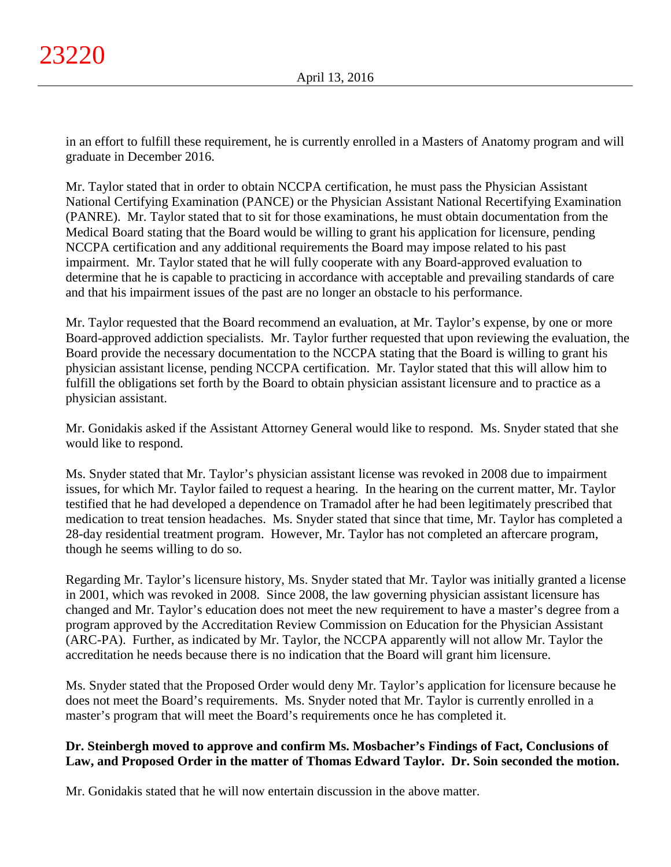in an effort to fulfill these requirement, he is currently enrolled in a Masters of Anatomy program and will graduate in December 2016.

Mr. Taylor stated that in order to obtain NCCPA certification, he must pass the Physician Assistant National Certifying Examination (PANCE) or the Physician Assistant National Recertifying Examination (PANRE). Mr. Taylor stated that to sit for those examinations, he must obtain documentation from the Medical Board stating that the Board would be willing to grant his application for licensure, pending NCCPA certification and any additional requirements the Board may impose related to his past impairment. Mr. Taylor stated that he will fully cooperate with any Board-approved evaluation to determine that he is capable to practicing in accordance with acceptable and prevailing standards of care and that his impairment issues of the past are no longer an obstacle to his performance.

Mr. Taylor requested that the Board recommend an evaluation, at Mr. Taylor's expense, by one or more Board-approved addiction specialists. Mr. Taylor further requested that upon reviewing the evaluation, the Board provide the necessary documentation to the NCCPA stating that the Board is willing to grant his physician assistant license, pending NCCPA certification. Mr. Taylor stated that this will allow him to fulfill the obligations set forth by the Board to obtain physician assistant licensure and to practice as a physician assistant.

Mr. Gonidakis asked if the Assistant Attorney General would like to respond. Ms. Snyder stated that she would like to respond.

Ms. Snyder stated that Mr. Taylor's physician assistant license was revoked in 2008 due to impairment issues, for which Mr. Taylor failed to request a hearing. In the hearing on the current matter, Mr. Taylor testified that he had developed a dependence on Tramadol after he had been legitimately prescribed that medication to treat tension headaches. Ms. Snyder stated that since that time, Mr. Taylor has completed a 28-day residential treatment program. However, Mr. Taylor has not completed an aftercare program, though he seems willing to do so.

Regarding Mr. Taylor's licensure history, Ms. Snyder stated that Mr. Taylor was initially granted a license in 2001, which was revoked in 2008. Since 2008, the law governing physician assistant licensure has changed and Mr. Taylor's education does not meet the new requirement to have a master's degree from a program approved by the Accreditation Review Commission on Education for the Physician Assistant (ARC-PA). Further, as indicated by Mr. Taylor, the NCCPA apparently will not allow Mr. Taylor the accreditation he needs because there is no indication that the Board will grant him licensure.

Ms. Snyder stated that the Proposed Order would deny Mr. Taylor's application for licensure because he does not meet the Board's requirements. Ms. Snyder noted that Mr. Taylor is currently enrolled in a master's program that will meet the Board's requirements once he has completed it.

# **Dr. Steinbergh moved to approve and confirm Ms. Mosbacher's Findings of Fact, Conclusions of Law, and Proposed Order in the matter of Thomas Edward Taylor. Dr. Soin seconded the motion.**

Mr. Gonidakis stated that he will now entertain discussion in the above matter.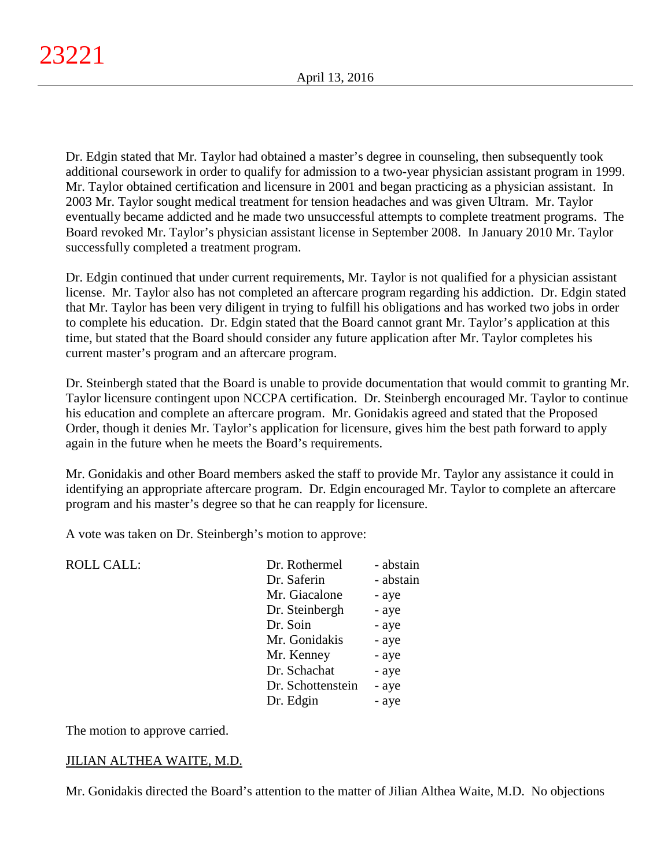Dr. Edgin stated that Mr. Taylor had obtained a master's degree in counseling, then subsequently took additional coursework in order to qualify for admission to a two-year physician assistant program in 1999. Mr. Taylor obtained certification and licensure in 2001 and began practicing as a physician assistant. In 2003 Mr. Taylor sought medical treatment for tension headaches and was given Ultram. Mr. Taylor eventually became addicted and he made two unsuccessful attempts to complete treatment programs. The Board revoked Mr. Taylor's physician assistant license in September 2008. In January 2010 Mr. Taylor successfully completed a treatment program.

Dr. Edgin continued that under current requirements, Mr. Taylor is not qualified for a physician assistant license. Mr. Taylor also has not completed an aftercare program regarding his addiction. Dr. Edgin stated that Mr. Taylor has been very diligent in trying to fulfill his obligations and has worked two jobs in order to complete his education. Dr. Edgin stated that the Board cannot grant Mr. Taylor's application at this time, but stated that the Board should consider any future application after Mr. Taylor completes his current master's program and an aftercare program.

Dr. Steinbergh stated that the Board is unable to provide documentation that would commit to granting Mr. Taylor licensure contingent upon NCCPA certification. Dr. Steinbergh encouraged Mr. Taylor to continue his education and complete an aftercare program. Mr. Gonidakis agreed and stated that the Proposed Order, though it denies Mr. Taylor's application for licensure, gives him the best path forward to apply again in the future when he meets the Board's requirements.

Mr. Gonidakis and other Board members asked the staff to provide Mr. Taylor any assistance it could in identifying an appropriate aftercare program. Dr. Edgin encouraged Mr. Taylor to complete an aftercare program and his master's degree so that he can reapply for licensure.

A vote was taken on Dr. Steinbergh's motion to approve:

| <b>ROLL CALL:</b> | Dr. Rothermel     | - abstain |
|-------------------|-------------------|-----------|
|                   | Dr. Saferin       | - abstain |
|                   | Mr. Giacalone     | - aye     |
|                   | Dr. Steinbergh    | - aye     |
|                   | Dr. Soin          | - aye     |
|                   | Mr. Gonidakis     | - aye     |
|                   | Mr. Kenney        | - aye     |
|                   | Dr. Schachat      | - aye     |
|                   | Dr. Schottenstein | - aye     |
|                   | Dr. Edgin         | - aye     |
|                   |                   |           |

The motion to approve carried.

# JILIAN ALTHEA WAITE, M.D.

Mr. Gonidakis directed the Board's attention to the matter of Jilian Althea Waite, M.D. No objections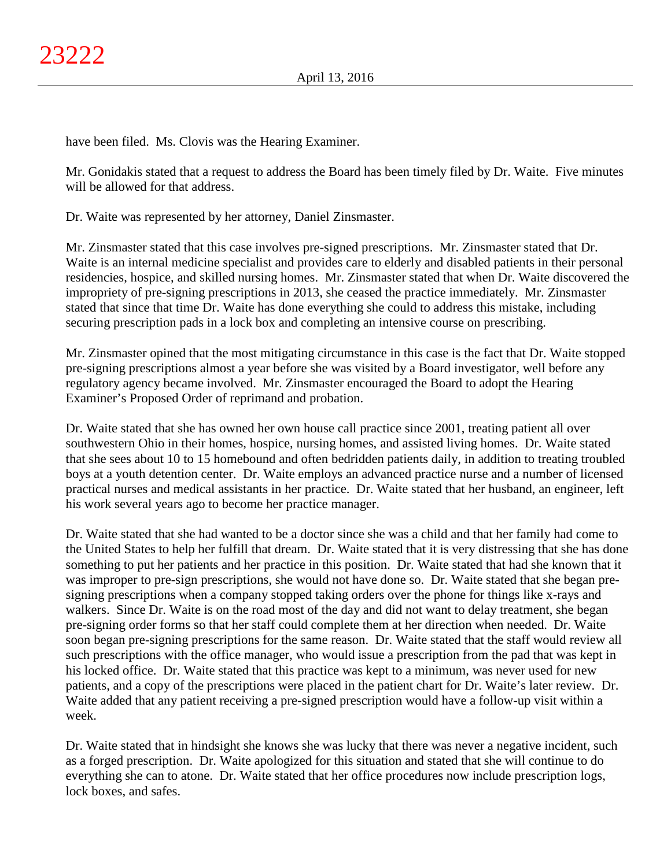have been filed. Ms. Clovis was the Hearing Examiner.

Mr. Gonidakis stated that a request to address the Board has been timely filed by Dr. Waite. Five minutes will be allowed for that address.

Dr. Waite was represented by her attorney, Daniel Zinsmaster.

Mr. Zinsmaster stated that this case involves pre-signed prescriptions. Mr. Zinsmaster stated that Dr. Waite is an internal medicine specialist and provides care to elderly and disabled patients in their personal residencies, hospice, and skilled nursing homes. Mr. Zinsmaster stated that when Dr. Waite discovered the impropriety of pre-signing prescriptions in 2013, she ceased the practice immediately. Mr. Zinsmaster stated that since that time Dr. Waite has done everything she could to address this mistake, including securing prescription pads in a lock box and completing an intensive course on prescribing.

Mr. Zinsmaster opined that the most mitigating circumstance in this case is the fact that Dr. Waite stopped pre-signing prescriptions almost a year before she was visited by a Board investigator, well before any regulatory agency became involved. Mr. Zinsmaster encouraged the Board to adopt the Hearing Examiner's Proposed Order of reprimand and probation.

Dr. Waite stated that she has owned her own house call practice since 2001, treating patient all over southwestern Ohio in their homes, hospice, nursing homes, and assisted living homes. Dr. Waite stated that she sees about 10 to 15 homebound and often bedridden patients daily, in addition to treating troubled boys at a youth detention center. Dr. Waite employs an advanced practice nurse and a number of licensed practical nurses and medical assistants in her practice. Dr. Waite stated that her husband, an engineer, left his work several years ago to become her practice manager.

Dr. Waite stated that she had wanted to be a doctor since she was a child and that her family had come to the United States to help her fulfill that dream. Dr. Waite stated that it is very distressing that she has done something to put her patients and her practice in this position. Dr. Waite stated that had she known that it was improper to pre-sign prescriptions, she would not have done so. Dr. Waite stated that she began presigning prescriptions when a company stopped taking orders over the phone for things like x-rays and walkers. Since Dr. Waite is on the road most of the day and did not want to delay treatment, she began pre-signing order forms so that her staff could complete them at her direction when needed. Dr. Waite soon began pre-signing prescriptions for the same reason. Dr. Waite stated that the staff would review all such prescriptions with the office manager, who would issue a prescription from the pad that was kept in his locked office. Dr. Waite stated that this practice was kept to a minimum, was never used for new patients, and a copy of the prescriptions were placed in the patient chart for Dr. Waite's later review. Dr. Waite added that any patient receiving a pre-signed prescription would have a follow-up visit within a week.

Dr. Waite stated that in hindsight she knows she was lucky that there was never a negative incident, such as a forged prescription. Dr. Waite apologized for this situation and stated that she will continue to do everything she can to atone. Dr. Waite stated that her office procedures now include prescription logs, lock boxes, and safes.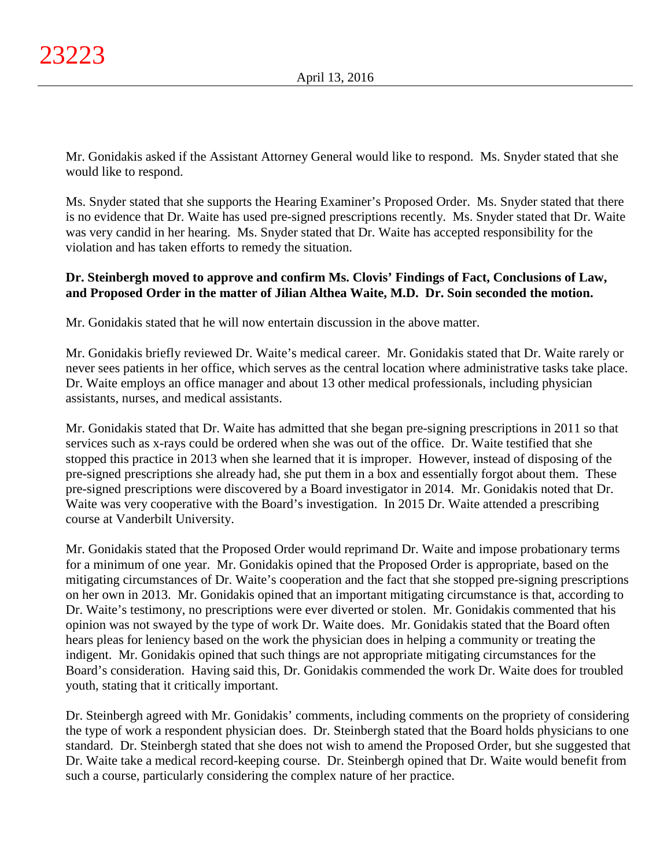Mr. Gonidakis asked if the Assistant Attorney General would like to respond. Ms. Snyder stated that she would like to respond.

Ms. Snyder stated that she supports the Hearing Examiner's Proposed Order. Ms. Snyder stated that there is no evidence that Dr. Waite has used pre-signed prescriptions recently. Ms. Snyder stated that Dr. Waite was very candid in her hearing. Ms. Snyder stated that Dr. Waite has accepted responsibility for the violation and has taken efforts to remedy the situation.

# **Dr. Steinbergh moved to approve and confirm Ms. Clovis' Findings of Fact, Conclusions of Law, and Proposed Order in the matter of Jilian Althea Waite, M.D. Dr. Soin seconded the motion.**

Mr. Gonidakis stated that he will now entertain discussion in the above matter.

Mr. Gonidakis briefly reviewed Dr. Waite's medical career. Mr. Gonidakis stated that Dr. Waite rarely or never sees patients in her office, which serves as the central location where administrative tasks take place. Dr. Waite employs an office manager and about 13 other medical professionals, including physician assistants, nurses, and medical assistants.

Mr. Gonidakis stated that Dr. Waite has admitted that she began pre-signing prescriptions in 2011 so that services such as x-rays could be ordered when she was out of the office. Dr. Waite testified that she stopped this practice in 2013 when she learned that it is improper. However, instead of disposing of the pre-signed prescriptions she already had, she put them in a box and essentially forgot about them. These pre-signed prescriptions were discovered by a Board investigator in 2014. Mr. Gonidakis noted that Dr. Waite was very cooperative with the Board's investigation. In 2015 Dr. Waite attended a prescribing course at Vanderbilt University.

Mr. Gonidakis stated that the Proposed Order would reprimand Dr. Waite and impose probationary terms for a minimum of one year. Mr. Gonidakis opined that the Proposed Order is appropriate, based on the mitigating circumstances of Dr. Waite's cooperation and the fact that she stopped pre-signing prescriptions on her own in 2013. Mr. Gonidakis opined that an important mitigating circumstance is that, according to Dr. Waite's testimony, no prescriptions were ever diverted or stolen. Mr. Gonidakis commented that his opinion was not swayed by the type of work Dr. Waite does. Mr. Gonidakis stated that the Board often hears pleas for leniency based on the work the physician does in helping a community or treating the indigent. Mr. Gonidakis opined that such things are not appropriate mitigating circumstances for the Board's consideration. Having said this, Dr. Gonidakis commended the work Dr. Waite does for troubled youth, stating that it critically important.

Dr. Steinbergh agreed with Mr. Gonidakis' comments, including comments on the propriety of considering the type of work a respondent physician does. Dr. Steinbergh stated that the Board holds physicians to one standard. Dr. Steinbergh stated that she does not wish to amend the Proposed Order, but she suggested that Dr. Waite take a medical record-keeping course. Dr. Steinbergh opined that Dr. Waite would benefit from such a course, particularly considering the complex nature of her practice.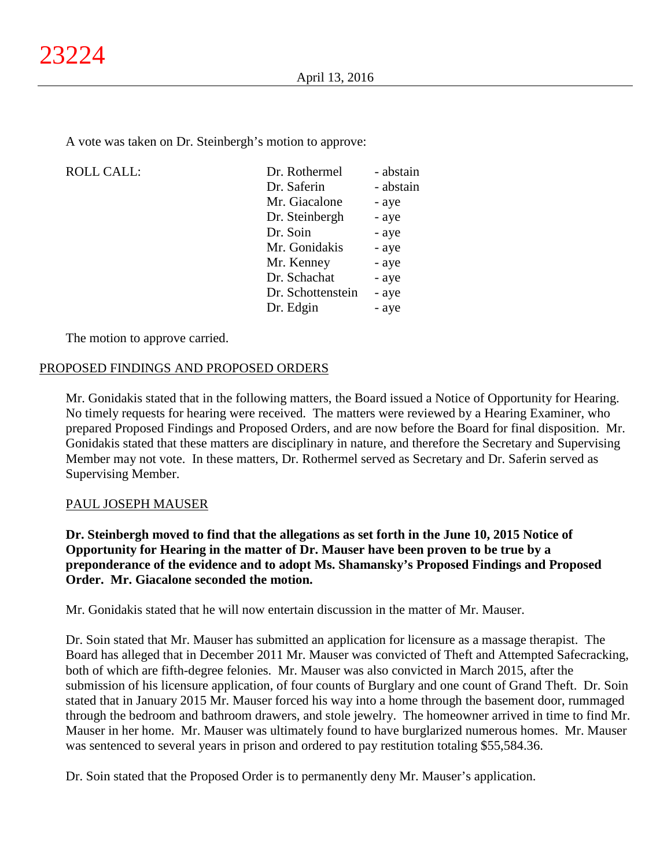A vote was taken on Dr. Steinbergh's motion to approve:

| <b>ROLL CALL:</b> | Dr. Rothermel     | - abstain |
|-------------------|-------------------|-----------|
|                   | Dr. Saferin       | - abstain |
|                   | Mr. Giacalone     | - aye     |
|                   | Dr. Steinbergh    | - aye     |
|                   | Dr. Soin          | - aye     |
|                   | Mr. Gonidakis     | - aye     |
|                   | Mr. Kenney        | - aye     |
|                   | Dr. Schachat      | - aye     |
|                   | Dr. Schottenstein | - aye     |
|                   | Dr. Edgin         | - aye     |
|                   |                   |           |

The motion to approve carried.

## PROPOSED FINDINGS AND PROPOSED ORDERS

Mr. Gonidakis stated that in the following matters, the Board issued a Notice of Opportunity for Hearing. No timely requests for hearing were received. The matters were reviewed by a Hearing Examiner, who prepared Proposed Findings and Proposed Orders, and are now before the Board for final disposition. Mr. Gonidakis stated that these matters are disciplinary in nature, and therefore the Secretary and Supervising Member may not vote. In these matters, Dr. Rothermel served as Secretary and Dr. Saferin served as Supervising Member.

## PAUL JOSEPH MAUSER

**Dr. Steinbergh moved to find that the allegations as set forth in the June 10, 2015 Notice of Opportunity for Hearing in the matter of Dr. Mauser have been proven to be true by a preponderance of the evidence and to adopt Ms. Shamansky's Proposed Findings and Proposed Order. Mr. Giacalone seconded the motion.**

Mr. Gonidakis stated that he will now entertain discussion in the matter of Mr. Mauser.

Dr. Soin stated that Mr. Mauser has submitted an application for licensure as a massage therapist. The Board has alleged that in December 2011 Mr. Mauser was convicted of Theft and Attempted Safecracking, both of which are fifth-degree felonies. Mr. Mauser was also convicted in March 2015, after the submission of his licensure application, of four counts of Burglary and one count of Grand Theft. Dr. Soin stated that in January 2015 Mr. Mauser forced his way into a home through the basement door, rummaged through the bedroom and bathroom drawers, and stole jewelry. The homeowner arrived in time to find Mr. Mauser in her home. Mr. Mauser was ultimately found to have burglarized numerous homes. Mr. Mauser was sentenced to several years in prison and ordered to pay restitution totaling \$55,584.36.

Dr. Soin stated that the Proposed Order is to permanently deny Mr. Mauser's application.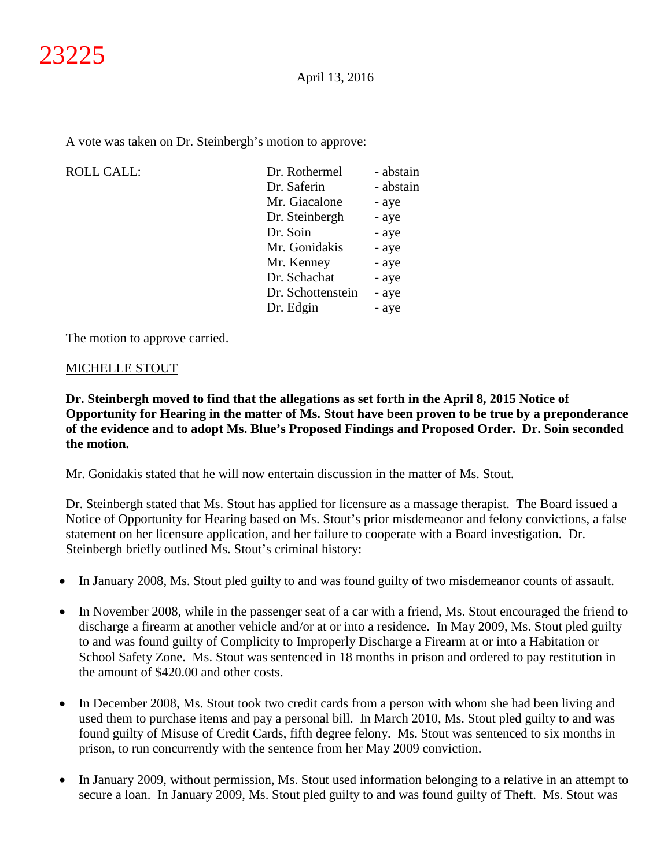A vote was taken on Dr. Steinbergh's motion to approve:

| <b>ROLL CALL:</b> | Dr. Rothermel     | - abstain |
|-------------------|-------------------|-----------|
|                   | Dr. Saferin       | - abstain |
|                   | Mr. Giacalone     | - aye     |
|                   | Dr. Steinbergh    | - aye     |
|                   | Dr. Soin          | - aye     |
|                   | Mr. Gonidakis     | - aye     |
|                   | Mr. Kenney        | - aye     |
|                   | Dr. Schachat      | - aye     |
|                   | Dr. Schottenstein | - aye     |
|                   | Dr. Edgin         | - aye     |
|                   |                   |           |

The motion to approve carried.

## MICHELLE STOUT

**Dr. Steinbergh moved to find that the allegations as set forth in the April 8, 2015 Notice of Opportunity for Hearing in the matter of Ms. Stout have been proven to be true by a preponderance of the evidence and to adopt Ms. Blue's Proposed Findings and Proposed Order. Dr. Soin seconded the motion.**

Mr. Gonidakis stated that he will now entertain discussion in the matter of Ms. Stout.

Dr. Steinbergh stated that Ms. Stout has applied for licensure as a massage therapist. The Board issued a Notice of Opportunity for Hearing based on Ms. Stout's prior misdemeanor and felony convictions, a false statement on her licensure application, and her failure to cooperate with a Board investigation. Dr. Steinbergh briefly outlined Ms. Stout's criminal history:

- In January 2008, Ms. Stout pled guilty to and was found guilty of two misdemeanor counts of assault.
- In November 2008, while in the passenger seat of a car with a friend, Ms. Stout encouraged the friend to discharge a firearm at another vehicle and/or at or into a residence. In May 2009, Ms. Stout pled guilty to and was found guilty of Complicity to Improperly Discharge a Firearm at or into a Habitation or School Safety Zone. Ms. Stout was sentenced in 18 months in prison and ordered to pay restitution in the amount of \$420.00 and other costs.
- In December 2008, Ms. Stout took two credit cards from a person with whom she had been living and used them to purchase items and pay a personal bill. In March 2010, Ms. Stout pled guilty to and was found guilty of Misuse of Credit Cards, fifth degree felony. Ms. Stout was sentenced to six months in prison, to run concurrently with the sentence from her May 2009 conviction.
- In January 2009, without permission, Ms. Stout used information belonging to a relative in an attempt to secure a loan. In January 2009, Ms. Stout pled guilty to and was found guilty of Theft. Ms. Stout was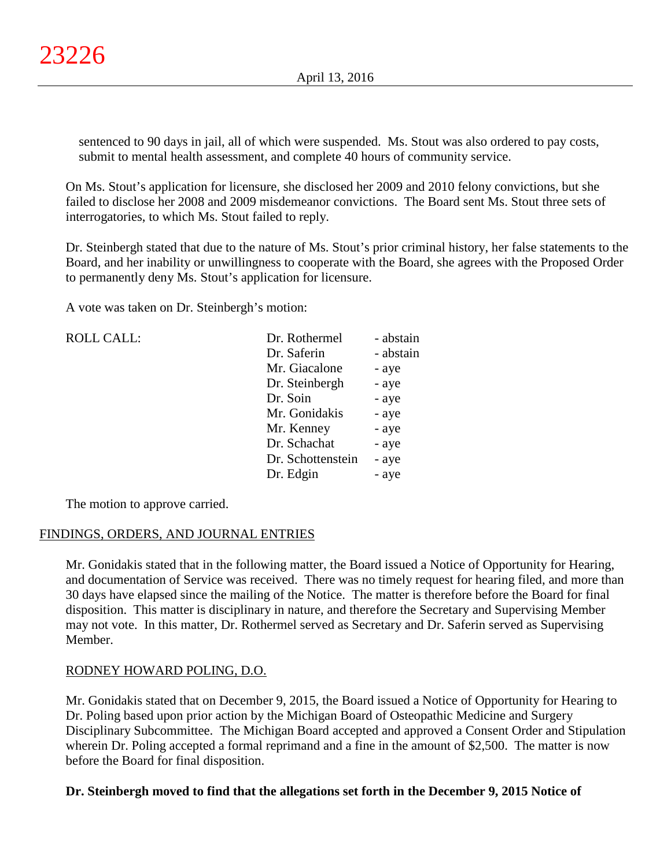sentenced to 90 days in jail, all of which were suspended. Ms. Stout was also ordered to pay costs, submit to mental health assessment, and complete 40 hours of community service.

On Ms. Stout's application for licensure, she disclosed her 2009 and 2010 felony convictions, but she failed to disclose her 2008 and 2009 misdemeanor convictions. The Board sent Ms. Stout three sets of interrogatories, to which Ms. Stout failed to reply.

Dr. Steinbergh stated that due to the nature of Ms. Stout's prior criminal history, her false statements to the Board, and her inability or unwillingness to cooperate with the Board, she agrees with the Proposed Order to permanently deny Ms. Stout's application for licensure.

A vote was taken on Dr. Steinbergh's motion:

| <b>ROLL CALL:</b> | Dr. Rothermel     | - abstain |
|-------------------|-------------------|-----------|
|                   | Dr. Saferin       | - abstain |
|                   | Mr. Giacalone     | - aye     |
|                   | Dr. Steinbergh    | - aye     |
|                   | Dr. Soin          | - aye     |
|                   | Mr. Gonidakis     | - aye     |
|                   | Mr. Kenney        | - aye     |
|                   | Dr. Schachat      | - aye     |
|                   | Dr. Schottenstein | - aye     |
|                   | Dr. Edgin         | - aye     |
|                   |                   |           |

The motion to approve carried.

## FINDINGS, ORDERS, AND JOURNAL ENTRIES

Mr. Gonidakis stated that in the following matter, the Board issued a Notice of Opportunity for Hearing, and documentation of Service was received. There was no timely request for hearing filed, and more than 30 days have elapsed since the mailing of the Notice. The matter is therefore before the Board for final disposition. This matter is disciplinary in nature, and therefore the Secretary and Supervising Member may not vote. In this matter, Dr. Rothermel served as Secretary and Dr. Saferin served as Supervising Member.

# RODNEY HOWARD POLING, D.O.

Mr. Gonidakis stated that on December 9, 2015, the Board issued a Notice of Opportunity for Hearing to Dr. Poling based upon prior action by the Michigan Board of Osteopathic Medicine and Surgery Disciplinary Subcommittee. The Michigan Board accepted and approved a Consent Order and Stipulation wherein Dr. Poling accepted a formal reprimand and a fine in the amount of \$2,500. The matter is now before the Board for final disposition.

## **Dr. Steinbergh moved to find that the allegations set forth in the December 9, 2015 Notice of**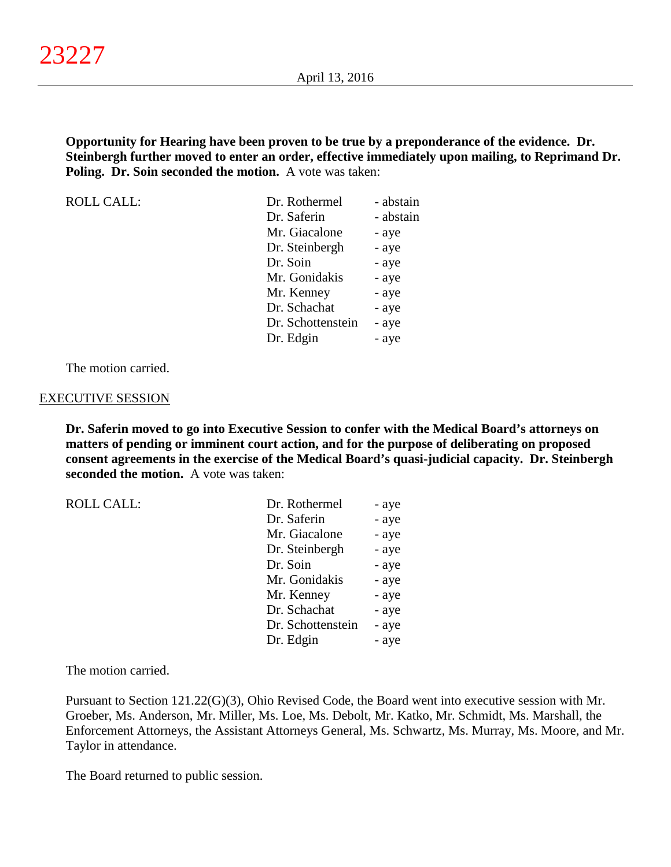**Opportunity for Hearing have been proven to be true by a preponderance of the evidence. Dr. Steinbergh further moved to enter an order, effective immediately upon mailing, to Reprimand Dr. Poling. Dr. Soin seconded the motion.** A vote was taken:

ROLL CALL: Dr. Rothermel - abstain Dr. Saferin - abstain Mr. Giacalone - aye Dr. Steinbergh - aye Dr. Soin - aye Mr. Gonidakis - aye Mr. Kenney - aye Dr. Schachat - aye Dr. Schottenstein - aye Dr. Edgin - aye

The motion carried.

#### EXECUTIVE SESSION

**Dr. Saferin moved to go into Executive Session to confer with the Medical Board's attorneys on matters of pending or imminent court action, and for the purpose of deliberating on proposed consent agreements in the exercise of the Medical Board's quasi-judicial capacity. Dr. Steinbergh seconded the motion.** A vote was taken:

| <b>ROLL CALL:</b> | Dr. Rothermel     | - aye |
|-------------------|-------------------|-------|
|                   | Dr. Saferin       | - aye |
|                   | Mr. Giacalone     | - aye |
|                   | Dr. Steinbergh    | - aye |
|                   | Dr. Soin          | - aye |
|                   | Mr. Gonidakis     | - aye |
|                   | Mr. Kenney        | - aye |
|                   | Dr. Schachat      | - aye |
|                   | Dr. Schottenstein | - aye |
|                   | Dr. Edgin         | - aye |
|                   |                   |       |

The motion carried.

Pursuant to Section 121.22(G)(3), Ohio Revised Code, the Board went into executive session with Mr. Groeber, Ms. Anderson, Mr. Miller, Ms. Loe, Ms. Debolt, Mr. Katko, Mr. Schmidt, Ms. Marshall, the Enforcement Attorneys, the Assistant Attorneys General, Ms. Schwartz, Ms. Murray, Ms. Moore, and Mr. Taylor in attendance.

The Board returned to public session.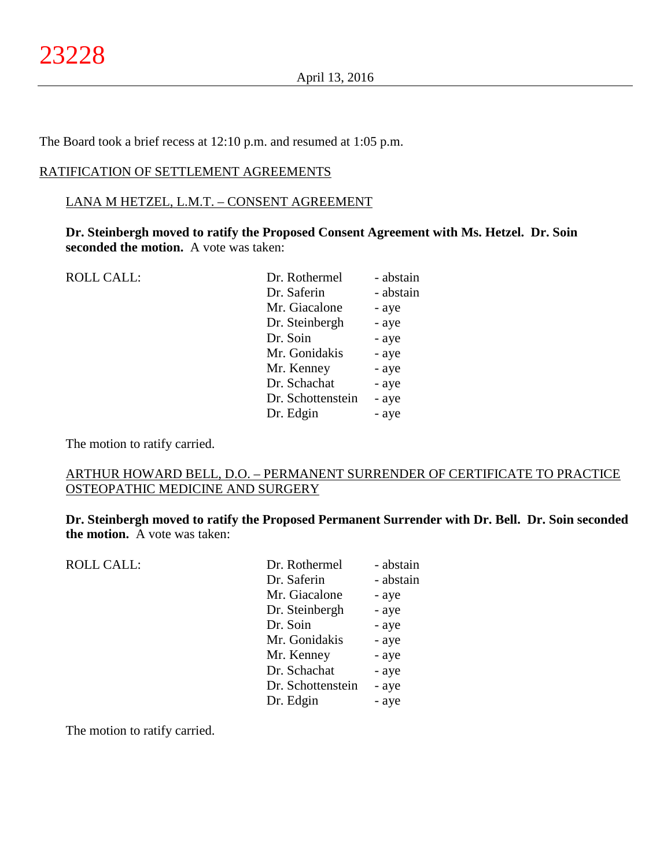The Board took a brief recess at 12:10 p.m. and resumed at 1:05 p.m.

#### RATIFICATION OF SETTLEMENT AGREEMENTS

#### LANA M HETZEL, L.M.T. – CONSENT AGREEMENT

**Dr. Steinbergh moved to ratify the Proposed Consent Agreement with Ms. Hetzel. Dr. Soin seconded the motion.** A vote was taken:

ROLL CALL: Dr. Rothermel - abstain

| DI. ROUIEHIEI     | - austalli |
|-------------------|------------|
| Dr. Saferin       | - abstain  |
| Mr. Giacalone     | - aye      |
| Dr. Steinbergh    | - aye      |
| Dr. Soin          | - aye      |
| Mr. Gonidakis     | - aye      |
| Mr. Kenney        | - aye      |
| Dr. Schachat      | - aye      |
| Dr. Schottenstein | - aye      |
| Dr. Edgin         | - aye      |
|                   |            |

The motion to ratify carried.

# ARTHUR HOWARD BELL, D.O. – PERMANENT SURRENDER OF CERTIFICATE TO PRACTICE OSTEOPATHIC MEDICINE AND SURGERY

**Dr. Steinbergh moved to ratify the Proposed Permanent Surrender with Dr. Bell. Dr. Soin seconded the motion.** A vote was taken:

| <b>ROLL CALL:</b> | Dr. Rothermel     | - abstain |
|-------------------|-------------------|-----------|
|                   | Dr. Saferin       | - abstain |
|                   | Mr. Giacalone     | - aye     |
|                   | Dr. Steinbergh    | - aye     |
|                   | Dr. Soin          | - aye     |
|                   | Mr. Gonidakis     | - aye     |
|                   | Mr. Kenney        | - aye     |
|                   | Dr. Schachat      | - aye     |
|                   | Dr. Schottenstein | - aye     |
|                   | Dr. Edgin         | - aye     |
|                   |                   |           |

The motion to ratify carried.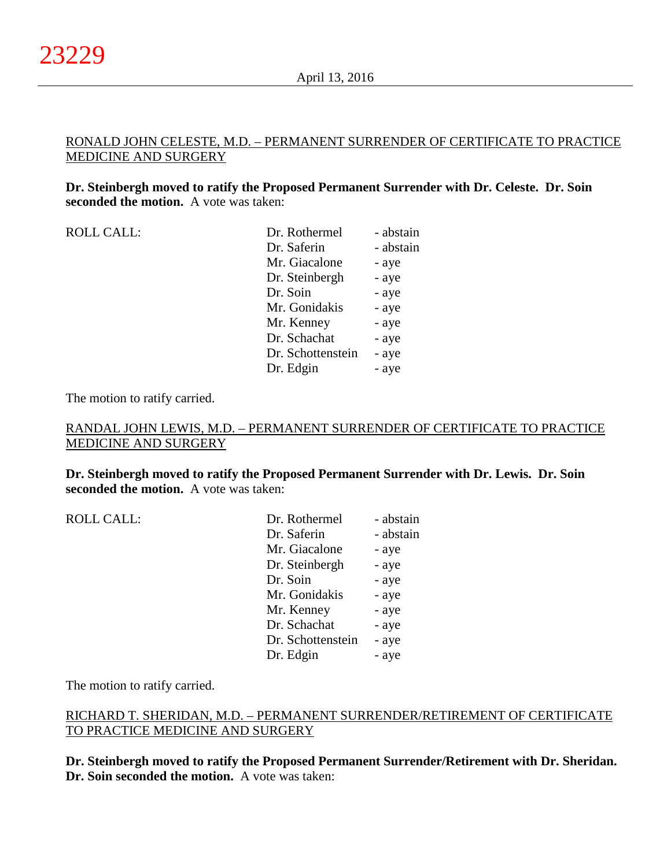#### RONALD JOHN CELESTE, M.D. – PERMANENT SURRENDER OF CERTIFICATE TO PRACTICE MEDICINE AND SURGERY

**Dr. Steinbergh moved to ratify the Proposed Permanent Surrender with Dr. Celeste. Dr. Soin seconded the motion.** A vote was taken:

| <b>ROLL CALL:</b> | Dr. Rothermel     | - abstain |
|-------------------|-------------------|-----------|
|                   | Dr. Saferin       | - abstain |
|                   | Mr. Giacalone     | - aye     |
|                   | Dr. Steinbergh    | - aye     |
|                   | Dr. Soin          | - aye     |
|                   | Mr. Gonidakis     | - aye     |
|                   | Mr. Kenney        | - aye     |
|                   | Dr. Schachat      | - aye     |
|                   | Dr. Schottenstein | - aye     |
|                   | Dr. Edgin         | - aye     |

The motion to ratify carried.

## RANDAL JOHN LEWIS, M.D. – PERMANENT SURRENDER OF CERTIFICATE TO PRACTICE MEDICINE AND SURGERY

**Dr. Steinbergh moved to ratify the Proposed Permanent Surrender with Dr. Lewis. Dr. Soin seconded the motion.** A vote was taken:

| <b>ROLL CALL:</b> | Dr. Rothermel     | - abstain |
|-------------------|-------------------|-----------|
|                   | Dr. Saferin       | - abstain |
|                   | Mr. Giacalone     | - aye     |
|                   | Dr. Steinbergh    | - aye     |
|                   | Dr. Soin          | - aye     |
|                   | Mr. Gonidakis     | - aye     |
|                   | Mr. Kenney        | - aye     |
|                   | Dr. Schachat      | - aye     |
|                   | Dr. Schottenstein | - aye     |
|                   | Dr. Edgin         | - aye     |
|                   |                   |           |

The motion to ratify carried.

## RICHARD T. SHERIDAN, M.D. – PERMANENT SURRENDER/RETIREMENT OF CERTIFICATE TO PRACTICE MEDICINE AND SURGERY

**Dr. Steinbergh moved to ratify the Proposed Permanent Surrender/Retirement with Dr. Sheridan. Dr. Soin seconded the motion.** A vote was taken: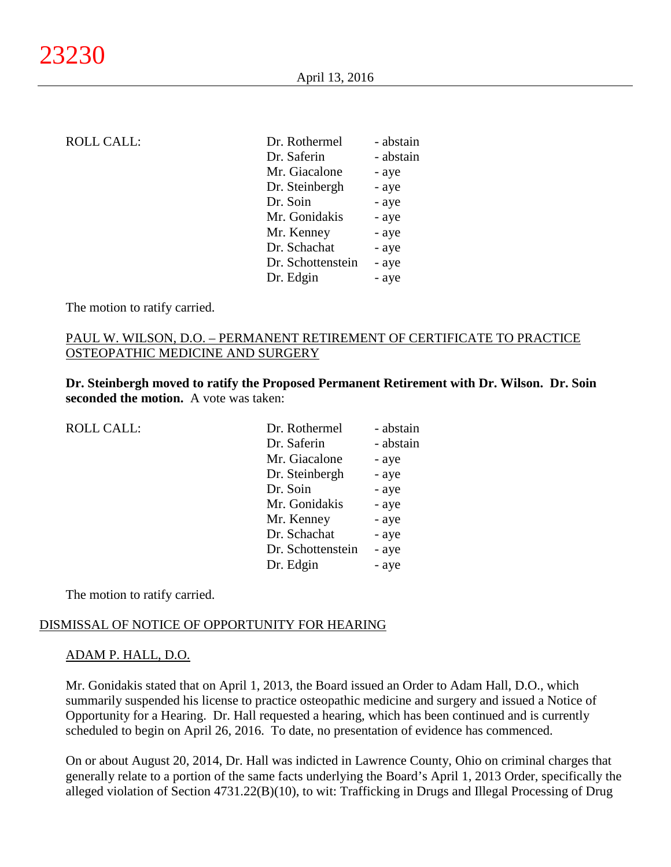| Dr. Saferin<br>Mr. Giacalone<br>Dr. Steinbergh | - abstain |
|------------------------------------------------|-----------|
|                                                | - abstain |
|                                                | - aye     |
|                                                | - aye     |
| Dr. Soin                                       | - aye     |
| Mr. Gonidakis                                  | - aye     |
| Mr. Kenney                                     | - aye     |
| Dr. Schachat                                   | - aye     |
| Dr. Schottenstein                              | - aye     |
| Dr. Edgin                                      | - aye     |

The motion to ratify carried.

## PAUL W. WILSON, D.O. – PERMANENT RETIREMENT OF CERTIFICATE TO PRACTICE OSTEOPATHIC MEDICINE AND SURGERY

**Dr. Steinbergh moved to ratify the Proposed Permanent Retirement with Dr. Wilson. Dr. Soin seconded the motion.** A vote was taken:

| <b>ROLL CALL:</b> | Dr. Rothermel     | - abstain |
|-------------------|-------------------|-----------|
|                   | Dr. Saferin       | - abstain |
|                   | Mr. Giacalone     | - aye     |
|                   | Dr. Steinbergh    | - aye     |
|                   | Dr. Soin          | - aye     |
|                   | Mr. Gonidakis     | - aye     |
|                   | Mr. Kenney        | - aye     |
|                   | Dr. Schachat      | - aye     |
|                   | Dr. Schottenstein | - aye     |
|                   | Dr. Edgin         | - aye     |

The motion to ratify carried.

#### DISMISSAL OF NOTICE OF OPPORTUNITY FOR HEARING

#### ADAM P. HALL, D.O.

Mr. Gonidakis stated that on April 1, 2013, the Board issued an Order to Adam Hall, D.O., which summarily suspended his license to practice osteopathic medicine and surgery and issued a Notice of Opportunity for a Hearing. Dr. Hall requested a hearing, which has been continued and is currently scheduled to begin on April 26, 2016. To date, no presentation of evidence has commenced.

On or about August 20, 2014, Dr. Hall was indicted in Lawrence County, Ohio on criminal charges that generally relate to a portion of the same facts underlying the Board's April 1, 2013 Order, specifically the alleged violation of Section 4731.22(B)(10), to wit: Trafficking in Drugs and Illegal Processing of Drug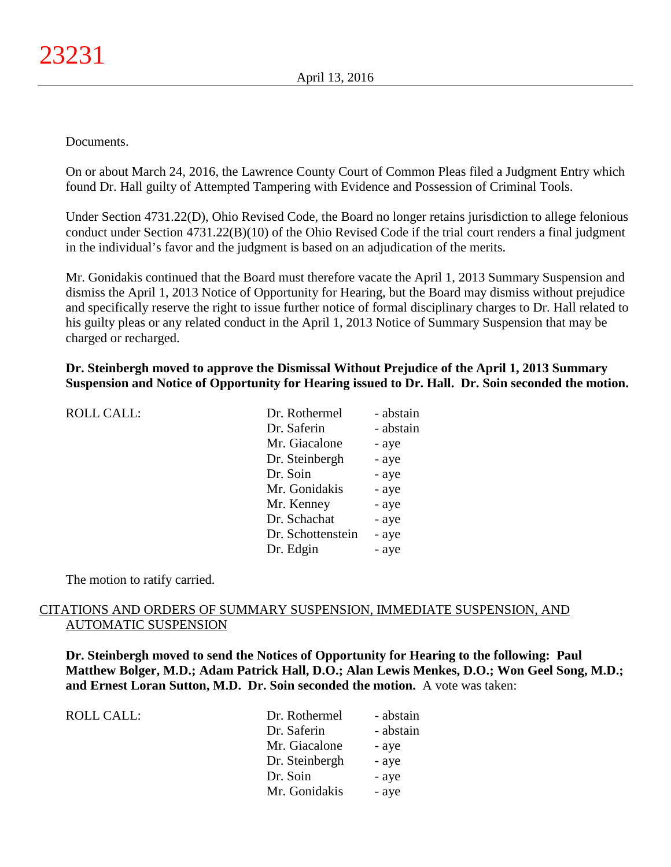#### Documents.

On or about March 24, 2016, the Lawrence County Court of Common Pleas filed a Judgment Entry which found Dr. Hall guilty of Attempted Tampering with Evidence and Possession of Criminal Tools.

Under Section 4731.22(D), Ohio Revised Code, the Board no longer retains jurisdiction to allege felonious conduct under Section 4731.22(B)(10) of the Ohio Revised Code if the trial court renders a final judgment in the individual's favor and the judgment is based on an adjudication of the merits.

Mr. Gonidakis continued that the Board must therefore vacate the April 1, 2013 Summary Suspension and dismiss the April 1, 2013 Notice of Opportunity for Hearing, but the Board may dismiss without prejudice and specifically reserve the right to issue further notice of formal disciplinary charges to Dr. Hall related to his guilty pleas or any related conduct in the April 1, 2013 Notice of Summary Suspension that may be charged or recharged.

**Dr. Steinbergh moved to approve the Dismissal Without Prejudice of the April 1, 2013 Summary Suspension and Notice of Opportunity for Hearing issued to Dr. Hall. Dr. Soin seconded the motion.**

| <b>ROLL CALL:</b> | Dr. Rothermel     | - abstain |
|-------------------|-------------------|-----------|
|                   | Dr. Saferin       | - abstain |
|                   | Mr. Giacalone     | - aye     |
|                   | Dr. Steinbergh    | - aye     |
|                   | Dr. Soin          | - aye     |
|                   | Mr. Gonidakis     | - aye     |
|                   | Mr. Kenney        | - aye     |
|                   | Dr. Schachat      | - aye     |
|                   | Dr. Schottenstein | - aye     |
|                   | Dr. Edgin         | - aye     |
|                   |                   |           |

The motion to ratify carried.

#### CITATIONS AND ORDERS OF SUMMARY SUSPENSION, IMMEDIATE SUSPENSION, AND AUTOMATIC SUSPENSION

**Dr. Steinbergh moved to send the Notices of Opportunity for Hearing to the following: Paul Matthew Bolger, M.D.; Adam Patrick Hall, D.O.; Alan Lewis Menkes, D.O.; Won Geel Song, M.D.; and Ernest Loran Sutton, M.D. Dr. Soin seconded the motion.** A vote was taken:

| ROLL CALL: | Dr. Rothermel  | - abstain |
|------------|----------------|-----------|
|            | Dr. Saferin    | - abstain |
|            | Mr. Giacalone  | - aye     |
|            | Dr. Steinbergh | - aye     |
|            | Dr. Soin       | - aye     |
|            | Mr. Gonidakis  | - aye     |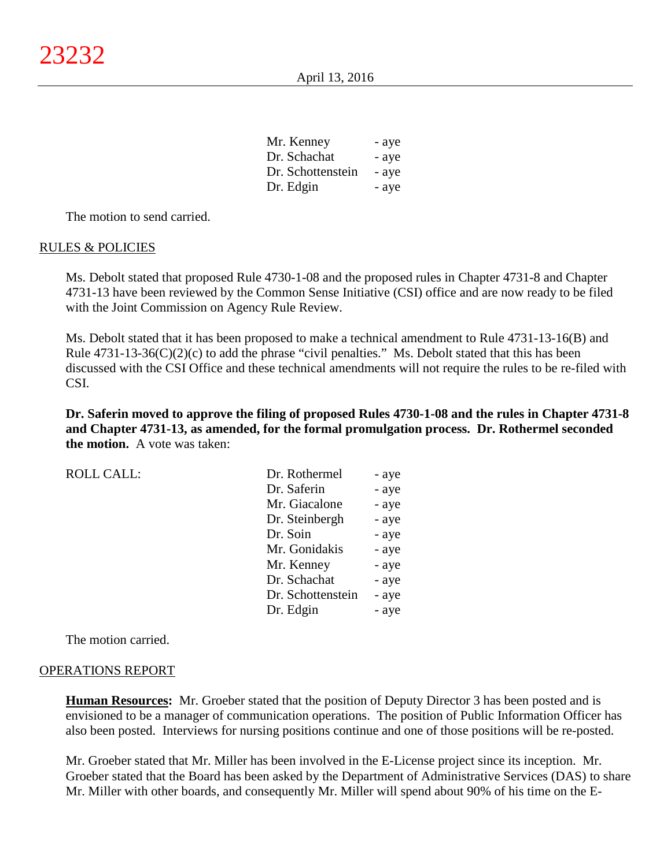| Mr. Kenney        | - aye |
|-------------------|-------|
| Dr. Schachat      | - aye |
| Dr. Schottenstein | - aye |
| Dr. Edgin         | - aye |

The motion to send carried.

#### RULES & POLICIES

Ms. Debolt stated that proposed Rule 4730-1-08 and the proposed rules in Chapter 4731-8 and Chapter 4731-13 have been reviewed by the Common Sense Initiative (CSI) office and are now ready to be filed with the Joint Commission on Agency Rule Review.

Ms. Debolt stated that it has been proposed to make a technical amendment to Rule 4731-13-16(B) and Rule  $4731-13-36(C)(2)(c)$  to add the phrase "civil penalties." Ms. Debolt stated that this has been discussed with the CSI Office and these technical amendments will not require the rules to be re-filed with CSI.

**Dr. Saferin moved to approve the filing of proposed Rules 4730-1-08 and the rules in Chapter 4731-8 and Chapter 4731-13, as amended, for the formal promulgation process. Dr. Rothermel seconded the motion.** A vote was taken:

| ROLL CALL: | Dr. Rothermel  | - aye |
|------------|----------------|-------|
|            | Dr. Saferin    | - aye |
|            | Mr. Giacalone  | - aye |
|            | Dr. Steinbergh | - aye |

| Dr. Saferin       | - aye |
|-------------------|-------|
| Mr. Giacalone     | - aye |
| Dr. Steinbergh    | - aye |
| Dr. Soin          | - aye |
| Mr. Gonidakis     | - aye |
| Mr. Kenney        | - aye |
| Dr. Schachat      | - aye |
| Dr. Schottenstein | - aye |
| Dr. Edgin         | - aye |
|                   |       |

The motion carried.

#### OPERATIONS REPORT

**Human Resources:** Mr. Groeber stated that the position of Deputy Director 3 has been posted and is envisioned to be a manager of communication operations. The position of Public Information Officer has also been posted. Interviews for nursing positions continue and one of those positions will be re-posted.

Mr. Groeber stated that Mr. Miller has been involved in the E-License project since its inception. Mr. Groeber stated that the Board has been asked by the Department of Administrative Services (DAS) to share Mr. Miller with other boards, and consequently Mr. Miller will spend about 90% of his time on the E-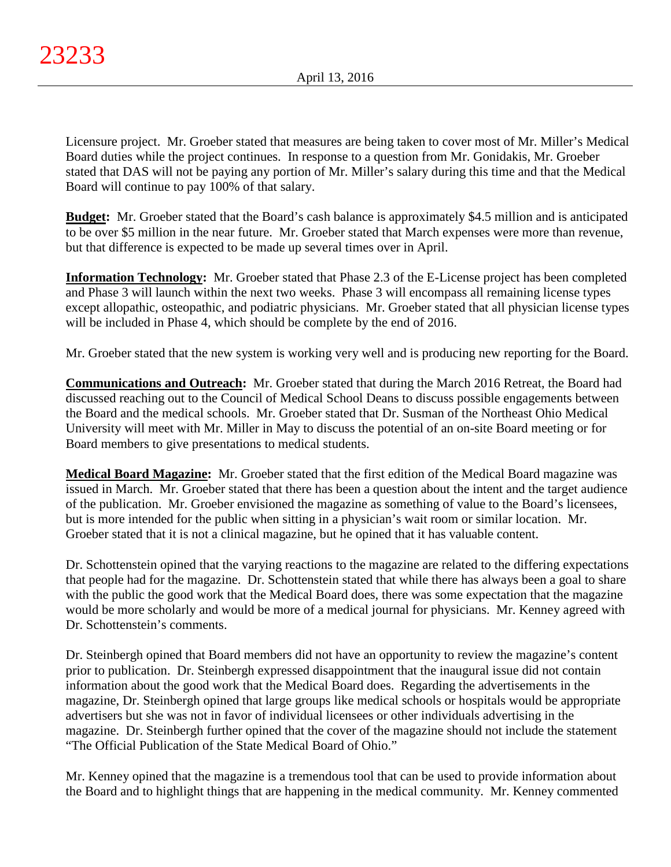Licensure project. Mr. Groeber stated that measures are being taken to cover most of Mr. Miller's Medical Board duties while the project continues. In response to a question from Mr. Gonidakis, Mr. Groeber stated that DAS will not be paying any portion of Mr. Miller's salary during this time and that the Medical Board will continue to pay 100% of that salary.

**Budget:** Mr. Groeber stated that the Board's cash balance is approximately \$4.5 million and is anticipated to be over \$5 million in the near future. Mr. Groeber stated that March expenses were more than revenue, but that difference is expected to be made up several times over in April.

**Information Technology:** Mr. Groeber stated that Phase 2.3 of the E-License project has been completed and Phase 3 will launch within the next two weeks. Phase 3 will encompass all remaining license types except allopathic, osteopathic, and podiatric physicians. Mr. Groeber stated that all physician license types will be included in Phase 4, which should be complete by the end of 2016.

Mr. Groeber stated that the new system is working very well and is producing new reporting for the Board.

**Communications and Outreach:** Mr. Groeber stated that during the March 2016 Retreat, the Board had discussed reaching out to the Council of Medical School Deans to discuss possible engagements between the Board and the medical schools. Mr. Groeber stated that Dr. Susman of the Northeast Ohio Medical University will meet with Mr. Miller in May to discuss the potential of an on-site Board meeting or for Board members to give presentations to medical students.

**Medical Board Magazine:** Mr. Groeber stated that the first edition of the Medical Board magazine was issued in March. Mr. Groeber stated that there has been a question about the intent and the target audience of the publication. Mr. Groeber envisioned the magazine as something of value to the Board's licensees, but is more intended for the public when sitting in a physician's wait room or similar location. Mr. Groeber stated that it is not a clinical magazine, but he opined that it has valuable content.

Dr. Schottenstein opined that the varying reactions to the magazine are related to the differing expectations that people had for the magazine. Dr. Schottenstein stated that while there has always been a goal to share with the public the good work that the Medical Board does, there was some expectation that the magazine would be more scholarly and would be more of a medical journal for physicians. Mr. Kenney agreed with Dr. Schottenstein's comments.

Dr. Steinbergh opined that Board members did not have an opportunity to review the magazine's content prior to publication. Dr. Steinbergh expressed disappointment that the inaugural issue did not contain information about the good work that the Medical Board does. Regarding the advertisements in the magazine, Dr. Steinbergh opined that large groups like medical schools or hospitals would be appropriate advertisers but she was not in favor of individual licensees or other individuals advertising in the magazine. Dr. Steinbergh further opined that the cover of the magazine should not include the statement "The Official Publication of the State Medical Board of Ohio."

Mr. Kenney opined that the magazine is a tremendous tool that can be used to provide information about the Board and to highlight things that are happening in the medical community. Mr. Kenney commented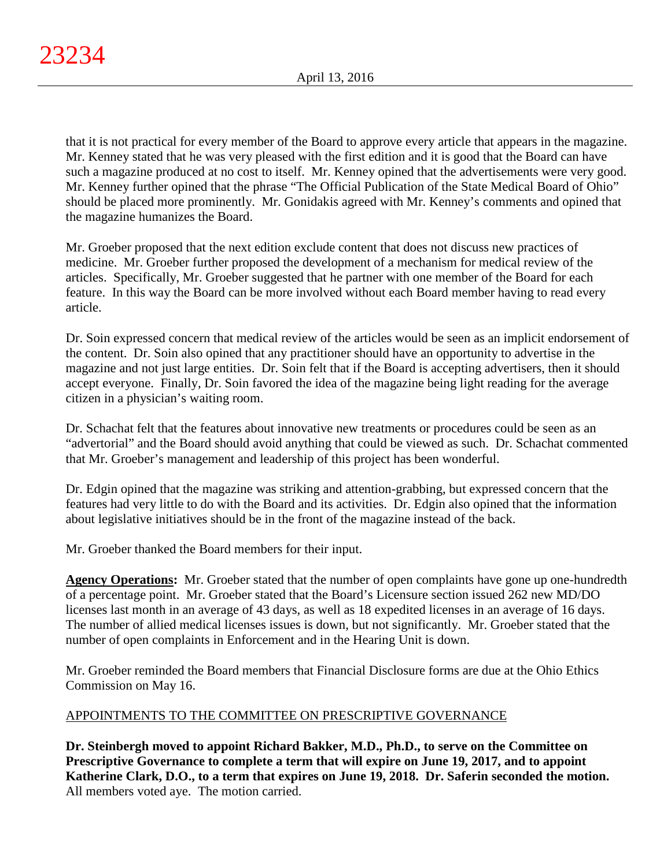that it is not practical for every member of the Board to approve every article that appears in the magazine. Mr. Kenney stated that he was very pleased with the first edition and it is good that the Board can have such a magazine produced at no cost to itself. Mr. Kenney opined that the advertisements were very good. Mr. Kenney further opined that the phrase "The Official Publication of the State Medical Board of Ohio" should be placed more prominently. Mr. Gonidakis agreed with Mr. Kenney's comments and opined that the magazine humanizes the Board.

Mr. Groeber proposed that the next edition exclude content that does not discuss new practices of medicine. Mr. Groeber further proposed the development of a mechanism for medical review of the articles. Specifically, Mr. Groeber suggested that he partner with one member of the Board for each feature. In this way the Board can be more involved without each Board member having to read every article.

Dr. Soin expressed concern that medical review of the articles would be seen as an implicit endorsement of the content. Dr. Soin also opined that any practitioner should have an opportunity to advertise in the magazine and not just large entities. Dr. Soin felt that if the Board is accepting advertisers, then it should accept everyone. Finally, Dr. Soin favored the idea of the magazine being light reading for the average citizen in a physician's waiting room.

Dr. Schachat felt that the features about innovative new treatments or procedures could be seen as an "advertorial" and the Board should avoid anything that could be viewed as such. Dr. Schachat commented that Mr. Groeber's management and leadership of this project has been wonderful.

Dr. Edgin opined that the magazine was striking and attention-grabbing, but expressed concern that the features had very little to do with the Board and its activities. Dr. Edgin also opined that the information about legislative initiatives should be in the front of the magazine instead of the back.

Mr. Groeber thanked the Board members for their input.

**Agency Operations:** Mr. Groeber stated that the number of open complaints have gone up one-hundredth of a percentage point. Mr. Groeber stated that the Board's Licensure section issued 262 new MD/DO licenses last month in an average of 43 days, as well as 18 expedited licenses in an average of 16 days. The number of allied medical licenses issues is down, but not significantly. Mr. Groeber stated that the number of open complaints in Enforcement and in the Hearing Unit is down.

Mr. Groeber reminded the Board members that Financial Disclosure forms are due at the Ohio Ethics Commission on May 16.

# APPOINTMENTS TO THE COMMITTEE ON PRESCRIPTIVE GOVERNANCE

**Dr. Steinbergh moved to appoint Richard Bakker, M.D., Ph.D., to serve on the Committee on Prescriptive Governance to complete a term that will expire on June 19, 2017, and to appoint Katherine Clark, D.O., to a term that expires on June 19, 2018. Dr. Saferin seconded the motion.** All members voted aye. The motion carried.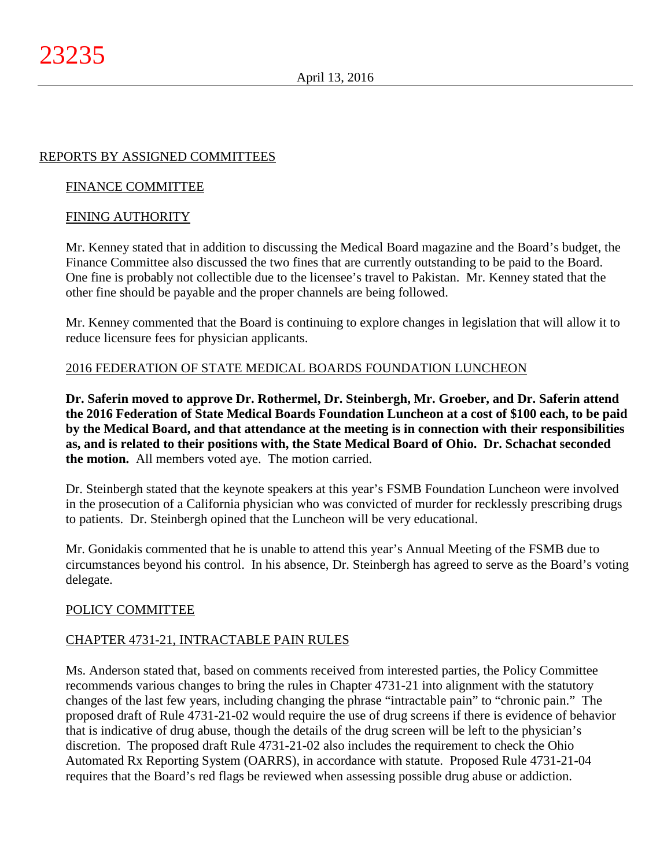# REPORTS BY ASSIGNED COMMITTEES

## FINANCE COMMITTEE

#### FINING AUTHORITY

Mr. Kenney stated that in addition to discussing the Medical Board magazine and the Board's budget, the Finance Committee also discussed the two fines that are currently outstanding to be paid to the Board. One fine is probably not collectible due to the licensee's travel to Pakistan. Mr. Kenney stated that the other fine should be payable and the proper channels are being followed.

Mr. Kenney commented that the Board is continuing to explore changes in legislation that will allow it to reduce licensure fees for physician applicants.

## 2016 FEDERATION OF STATE MEDICAL BOARDS FOUNDATION LUNCHEON

**Dr. Saferin moved to approve Dr. Rothermel, Dr. Steinbergh, Mr. Groeber, and Dr. Saferin attend the 2016 Federation of State Medical Boards Foundation Luncheon at a cost of \$100 each, to be paid by the Medical Board, and that attendance at the meeting is in connection with their responsibilities as, and is related to their positions with, the State Medical Board of Ohio. Dr. Schachat seconded the motion.** All members voted aye. The motion carried.

Dr. Steinbergh stated that the keynote speakers at this year's FSMB Foundation Luncheon were involved in the prosecution of a California physician who was convicted of murder for recklessly prescribing drugs to patients. Dr. Steinbergh opined that the Luncheon will be very educational.

Mr. Gonidakis commented that he is unable to attend this year's Annual Meeting of the FSMB due to circumstances beyond his control. In his absence, Dr. Steinbergh has agreed to serve as the Board's voting delegate.

## POLICY COMMITTEE

## CHAPTER 4731-21, INTRACTABLE PAIN RULES

Ms. Anderson stated that, based on comments received from interested parties, the Policy Committee recommends various changes to bring the rules in Chapter 4731-21 into alignment with the statutory changes of the last few years, including changing the phrase "intractable pain" to "chronic pain." The proposed draft of Rule 4731-21-02 would require the use of drug screens if there is evidence of behavior that is indicative of drug abuse, though the details of the drug screen will be left to the physician's discretion. The proposed draft Rule 4731-21-02 also includes the requirement to check the Ohio Automated Rx Reporting System (OARRS), in accordance with statute. Proposed Rule 4731-21-04 requires that the Board's red flags be reviewed when assessing possible drug abuse or addiction.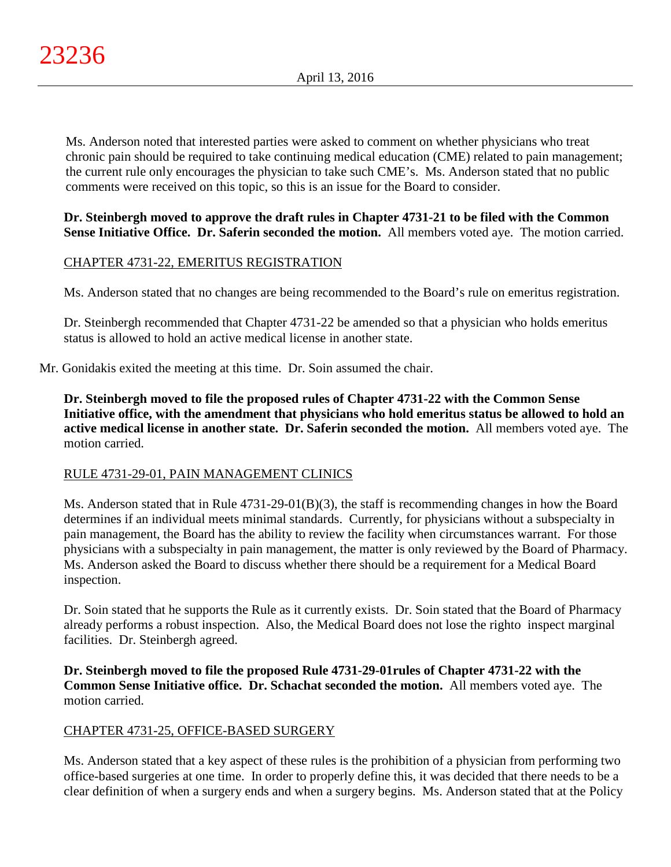Ms. Anderson noted that interested parties were asked to comment on whether physicians who treat chronic pain should be required to take continuing medical education (CME) related to pain management; the current rule only encourages the physician to take such CME's. Ms. Anderson stated that no public comments were received on this topic, so this is an issue for the Board to consider.

## **Dr. Steinbergh moved to approve the draft rules in Chapter 4731-21 to be filed with the Common Sense Initiative Office. Dr. Saferin seconded the motion.** All members voted aye. The motion carried.

# CHAPTER 4731-22, EMERITUS REGISTRATION

Ms. Anderson stated that no changes are being recommended to the Board's rule on emeritus registration.

Dr. Steinbergh recommended that Chapter 4731-22 be amended so that a physician who holds emeritus status is allowed to hold an active medical license in another state.

Mr. Gonidakis exited the meeting at this time. Dr. Soin assumed the chair.

**Dr. Steinbergh moved to file the proposed rules of Chapter 4731-22 with the Common Sense Initiative office, with the amendment that physicians who hold emeritus status be allowed to hold an active medical license in another state. Dr. Saferin seconded the motion.** All members voted aye. The motion carried.

# RULE 4731-29-01, PAIN MANAGEMENT CLINICS

Ms. Anderson stated that in Rule 4731-29-01(B)(3), the staff is recommending changes in how the Board determines if an individual meets minimal standards. Currently, for physicians without a subspecialty in pain management, the Board has the ability to review the facility when circumstances warrant. For those physicians with a subspecialty in pain management, the matter is only reviewed by the Board of Pharmacy. Ms. Anderson asked the Board to discuss whether there should be a requirement for a Medical Board inspection.

Dr. Soin stated that he supports the Rule as it currently exists. Dr. Soin stated that the Board of Pharmacy already performs a robust inspection. Also, the Medical Board does not lose the righto inspect marginal facilities. Dr. Steinbergh agreed.

**Dr. Steinbergh moved to file the proposed Rule 4731-29-01rules of Chapter 4731-22 with the Common Sense Initiative office. Dr. Schachat seconded the motion.** All members voted aye. The motion carried.

# CHAPTER 4731-25, OFFICE-BASED SURGERY

Ms. Anderson stated that a key aspect of these rules is the prohibition of a physician from performing two office-based surgeries at one time. In order to properly define this, it was decided that there needs to be a clear definition of when a surgery ends and when a surgery begins. Ms. Anderson stated that at the Policy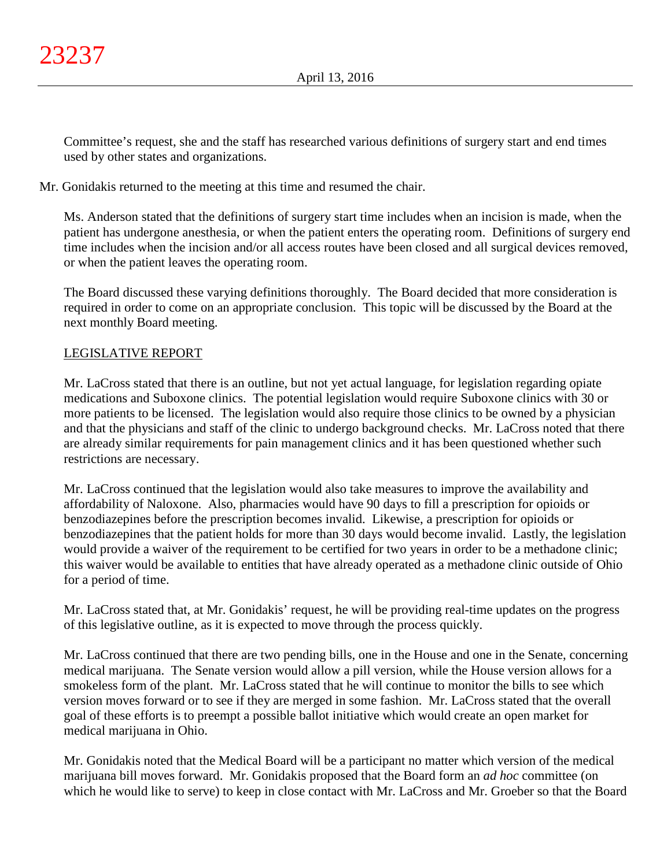Committee's request, she and the staff has researched various definitions of surgery start and end times used by other states and organizations.

Mr. Gonidakis returned to the meeting at this time and resumed the chair.

Ms. Anderson stated that the definitions of surgery start time includes when an incision is made, when the patient has undergone anesthesia, or when the patient enters the operating room. Definitions of surgery end time includes when the incision and/or all access routes have been closed and all surgical devices removed, or when the patient leaves the operating room.

The Board discussed these varying definitions thoroughly. The Board decided that more consideration is required in order to come on an appropriate conclusion. This topic will be discussed by the Board at the next monthly Board meeting.

# LEGISLATIVE REPORT

Mr. LaCross stated that there is an outline, but not yet actual language, for legislation regarding opiate medications and Suboxone clinics. The potential legislation would require Suboxone clinics with 30 or more patients to be licensed. The legislation would also require those clinics to be owned by a physician and that the physicians and staff of the clinic to undergo background checks. Mr. LaCross noted that there are already similar requirements for pain management clinics and it has been questioned whether such restrictions are necessary.

Mr. LaCross continued that the legislation would also take measures to improve the availability and affordability of Naloxone. Also, pharmacies would have 90 days to fill a prescription for opioids or benzodiazepines before the prescription becomes invalid. Likewise, a prescription for opioids or benzodiazepines that the patient holds for more than 30 days would become invalid. Lastly, the legislation would provide a waiver of the requirement to be certified for two years in order to be a methadone clinic; this waiver would be available to entities that have already operated as a methadone clinic outside of Ohio for a period of time.

Mr. LaCross stated that, at Mr. Gonidakis' request, he will be providing real-time updates on the progress of this legislative outline, as it is expected to move through the process quickly.

Mr. LaCross continued that there are two pending bills, one in the House and one in the Senate, concerning medical marijuana. The Senate version would allow a pill version, while the House version allows for a smokeless form of the plant. Mr. LaCross stated that he will continue to monitor the bills to see which version moves forward or to see if they are merged in some fashion. Mr. LaCross stated that the overall goal of these efforts is to preempt a possible ballot initiative which would create an open market for medical marijuana in Ohio.

Mr. Gonidakis noted that the Medical Board will be a participant no matter which version of the medical marijuana bill moves forward. Mr. Gonidakis proposed that the Board form an *ad hoc* committee (on which he would like to serve) to keep in close contact with Mr. LaCross and Mr. Groeber so that the Board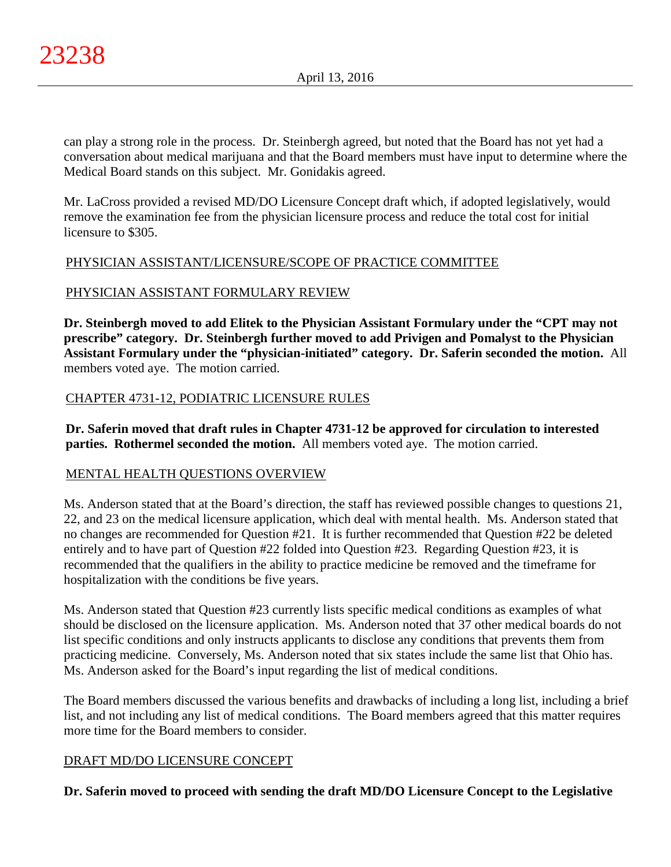can play a strong role in the process. Dr. Steinbergh agreed, but noted that the Board has not yet had a conversation about medical marijuana and that the Board members must have input to determine where the Medical Board stands on this subject. Mr. Gonidakis agreed.

Mr. LaCross provided a revised MD/DO Licensure Concept draft which, if adopted legislatively, would remove the examination fee from the physician licensure process and reduce the total cost for initial licensure to \$305.

# PHYSICIAN ASSISTANT/LICENSURE/SCOPE OF PRACTICE COMMITTEE

# PHYSICIAN ASSISTANT FORMULARY REVIEW

**Dr. Steinbergh moved to add Elitek to the Physician Assistant Formulary under the "CPT may not prescribe" category. Dr. Steinbergh further moved to add Privigen and Pomalyst to the Physician Assistant Formulary under the "physician-initiated" category. Dr. Saferin seconded the motion.** All members voted aye. The motion carried.

# CHAPTER 4731-12, PODIATRIC LICENSURE RULES

**Dr. Saferin moved that draft rules in Chapter 4731-12 be approved for circulation to interested parties. Rothermel seconded the motion.** All members voted aye. The motion carried.

# MENTAL HEALTH QUESTIONS OVERVIEW

Ms. Anderson stated that at the Board's direction, the staff has reviewed possible changes to questions 21, 22, and 23 on the medical licensure application, which deal with mental health. Ms. Anderson stated that no changes are recommended for Question #21. It is further recommended that Question #22 be deleted entirely and to have part of Question #22 folded into Question #23. Regarding Question #23, it is recommended that the qualifiers in the ability to practice medicine be removed and the timeframe for hospitalization with the conditions be five years.

Ms. Anderson stated that Question #23 currently lists specific medical conditions as examples of what should be disclosed on the licensure application. Ms. Anderson noted that 37 other medical boards do not list specific conditions and only instructs applicants to disclose any conditions that prevents them from practicing medicine. Conversely, Ms. Anderson noted that six states include the same list that Ohio has. Ms. Anderson asked for the Board's input regarding the list of medical conditions.

The Board members discussed the various benefits and drawbacks of including a long list, including a brief list, and not including any list of medical conditions. The Board members agreed that this matter requires more time for the Board members to consider.

# DRAFT MD/DO LICENSURE CONCEPT

**Dr. Saferin moved to proceed with sending the draft MD/DO Licensure Concept to the Legislative**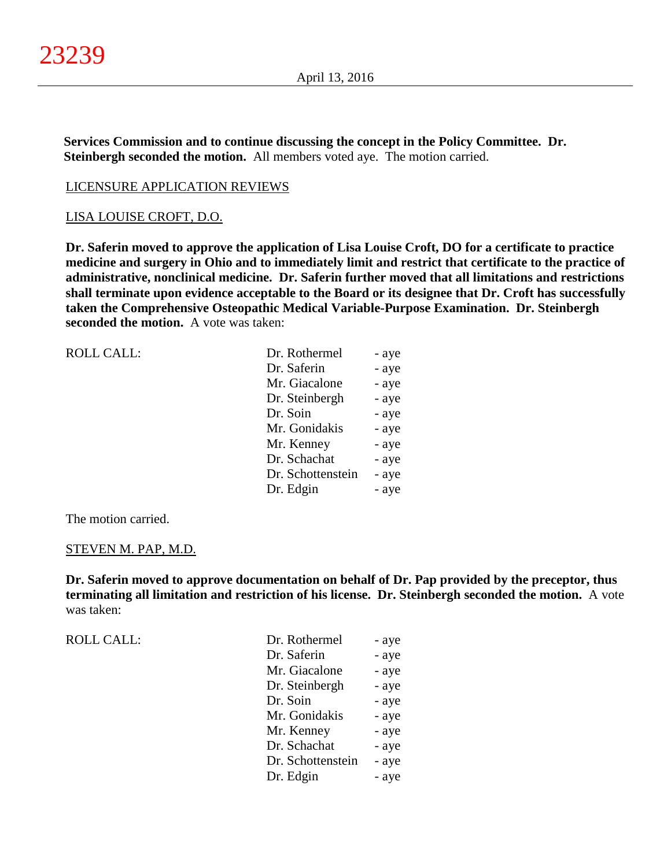**Services Commission and to continue discussing the concept in the Policy Committee. Dr. Steinbergh seconded the motion.** All members voted aye. The motion carried.

#### LICENSURE APPLICATION REVIEWS

#### LISA LOUISE CROFT, D.O.

**Dr. Saferin moved to approve the application of Lisa Louise Croft, DO for a certificate to practice medicine and surgery in Ohio and to immediately limit and restrict that certificate to the practice of administrative, nonclinical medicine. Dr. Saferin further moved that all limitations and restrictions shall terminate upon evidence acceptable to the Board or its designee that Dr. Croft has successfully taken the Comprehensive Osteopathic Medical Variable-Purpose Examination. Dr. Steinbergh seconded the motion.** A vote was taken:

| <b>ROLL CALL:</b> | Dr. Rothermel     | - aye |
|-------------------|-------------------|-------|
|                   | Dr. Saferin       | - aye |
|                   | Mr. Giacalone     | - aye |
|                   | Dr. Steinbergh    | - aye |
|                   | Dr. Soin          | - aye |
|                   | Mr. Gonidakis     | - aye |
|                   | Mr. Kenney        | - aye |
|                   | Dr. Schachat      | - aye |
|                   | Dr. Schottenstein | - aye |
|                   | Dr. Edgin         | - aye |
|                   |                   |       |

The motion carried.

#### STEVEN M. PAP, M.D.

**Dr. Saferin moved to approve documentation on behalf of Dr. Pap provided by the preceptor, thus terminating all limitation and restriction of his license. Dr. Steinbergh seconded the motion.** A vote was taken:

| <b>ROLL CALL:</b> | Dr. Rothermel     | - aye |
|-------------------|-------------------|-------|
|                   | Dr. Saferin       | - aye |
|                   | Mr. Giacalone     | - aye |
|                   | Dr. Steinbergh    | - aye |
|                   | Dr. Soin          | - aye |
|                   | Mr. Gonidakis     | - aye |
|                   | Mr. Kenney        | - aye |
|                   | Dr. Schachat      | - aye |
|                   | Dr. Schottenstein | - aye |
|                   | Dr. Edgin         | - aye |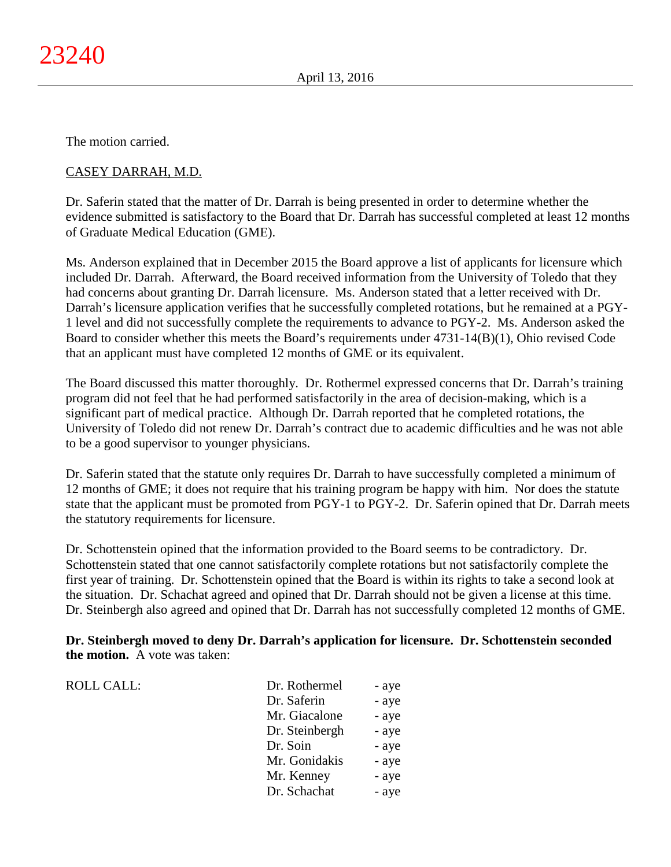The motion carried.

# CASEY DARRAH, M.D.

Dr. Saferin stated that the matter of Dr. Darrah is being presented in order to determine whether the evidence submitted is satisfactory to the Board that Dr. Darrah has successful completed at least 12 months of Graduate Medical Education (GME).

Ms. Anderson explained that in December 2015 the Board approve a list of applicants for licensure which included Dr. Darrah. Afterward, the Board received information from the University of Toledo that they had concerns about granting Dr. Darrah licensure. Ms. Anderson stated that a letter received with Dr. Darrah's licensure application verifies that he successfully completed rotations, but he remained at a PGY-1 level and did not successfully complete the requirements to advance to PGY-2. Ms. Anderson asked the Board to consider whether this meets the Board's requirements under 4731-14(B)(1), Ohio revised Code that an applicant must have completed 12 months of GME or its equivalent.

The Board discussed this matter thoroughly. Dr. Rothermel expressed concerns that Dr. Darrah's training program did not feel that he had performed satisfactorily in the area of decision-making, which is a significant part of medical practice. Although Dr. Darrah reported that he completed rotations, the University of Toledo did not renew Dr. Darrah's contract due to academic difficulties and he was not able to be a good supervisor to younger physicians.

Dr. Saferin stated that the statute only requires Dr. Darrah to have successfully completed a minimum of 12 months of GME; it does not require that his training program be happy with him. Nor does the statute state that the applicant must be promoted from PGY-1 to PGY-2. Dr. Saferin opined that Dr. Darrah meets the statutory requirements for licensure.

Dr. Schottenstein opined that the information provided to the Board seems to be contradictory. Dr. Schottenstein stated that one cannot satisfactorily complete rotations but not satisfactorily complete the first year of training. Dr. Schottenstein opined that the Board is within its rights to take a second look at the situation. Dr. Schachat agreed and opined that Dr. Darrah should not be given a license at this time. Dr. Steinbergh also agreed and opined that Dr. Darrah has not successfully completed 12 months of GME.

**Dr. Steinbergh moved to deny Dr. Darrah's application for licensure. Dr. Schottenstein seconded the motion.** A vote was taken:

| ROLL CALL: | Dr. Rothermel  | - aye |
|------------|----------------|-------|
|            | Dr. Saferin    | - aye |
|            | Mr. Giacalone  | - aye |
|            | Dr. Steinbergh | - aye |
|            | Dr. Soin       | - aye |
|            | Mr. Gonidakis  | - aye |
|            | Mr. Kenney     | - aye |
|            | Dr. Schachat   | - aye |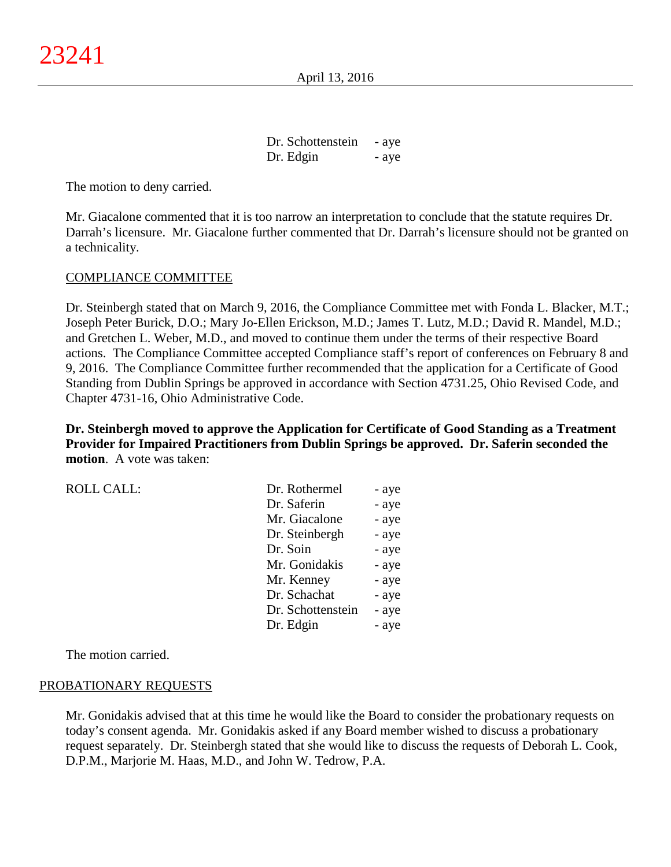Dr. Schottenstein - aye Dr. Edgin - aye

The motion to deny carried.

Mr. Giacalone commented that it is too narrow an interpretation to conclude that the statute requires Dr. Darrah's licensure. Mr. Giacalone further commented that Dr. Darrah's licensure should not be granted on a technicality.

#### COMPLIANCE COMMITTEE

Dr. Steinbergh stated that on March 9, 2016, the Compliance Committee met with Fonda L. Blacker, M.T.; Joseph Peter Burick, D.O.; Mary Jo-Ellen Erickson, M.D.; James T. Lutz, M.D.; David R. Mandel, M.D.; and Gretchen L. Weber, M.D., and moved to continue them under the terms of their respective Board actions. The Compliance Committee accepted Compliance staff's report of conferences on February 8 and 9, 2016. The Compliance Committee further recommended that the application for a Certificate of Good Standing from Dublin Springs be approved in accordance with Section 4731.25, Ohio Revised Code, and Chapter 4731-16, Ohio Administrative Code.

**Dr. Steinbergh moved to approve the Application for Certificate of Good Standing as a Treatment Provider for Impaired Practitioners from Dublin Springs be approved. Dr. Saferin seconded the motion**. A vote was taken:

| <b>ROLL CALL:</b> | Dr. Rothermel     | - aye |
|-------------------|-------------------|-------|
|                   | Dr. Saferin       | - aye |
|                   | Mr. Giacalone     | - aye |
|                   | Dr. Steinbergh    | - aye |
|                   | Dr. Soin          | - aye |
|                   | Mr. Gonidakis     | - aye |
|                   | Mr. Kenney        | - aye |
|                   | Dr. Schachat      | - aye |
|                   | Dr. Schottenstein | - aye |
|                   | Dr. Edgin         | - aye |

The motion carried.

#### PROBATIONARY REQUESTS

Mr. Gonidakis advised that at this time he would like the Board to consider the probationary requests on today's consent agenda. Mr. Gonidakis asked if any Board member wished to discuss a probationary request separately. Dr. Steinbergh stated that she would like to discuss the requests of Deborah L. Cook, D.P.M., Marjorie M. Haas, M.D., and John W. Tedrow, P.A.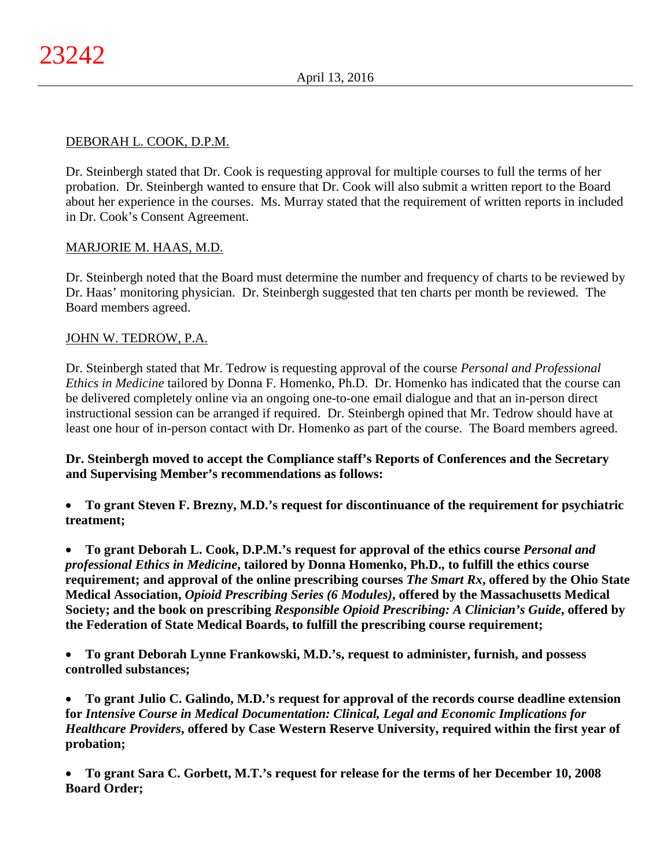## DEBORAH L. COOK, D.P.M.

Dr. Steinbergh stated that Dr. Cook is requesting approval for multiple courses to full the terms of her probation. Dr. Steinbergh wanted to ensure that Dr. Cook will also submit a written report to the Board about her experience in the courses. Ms. Murray stated that the requirement of written reports in included in Dr. Cook's Consent Agreement.

## MARJORIE M. HAAS, M.D.

Dr. Steinbergh noted that the Board must determine the number and frequency of charts to be reviewed by Dr. Haas' monitoring physician. Dr. Steinbergh suggested that ten charts per month be reviewed. The Board members agreed.

## JOHN W. TEDROW, P.A.

Dr. Steinbergh stated that Mr. Tedrow is requesting approval of the course *Personal and Professional Ethics in Medicine* tailored by Donna F. Homenko, Ph.D. Dr. Homenko has indicated that the course can be delivered completely online via an ongoing one-to-one email dialogue and that an in-person direct instructional session can be arranged if required. Dr. Steinbergh opined that Mr. Tedrow should have at least one hour of in-person contact with Dr. Homenko as part of the course. The Board members agreed.

**Dr. Steinbergh moved to accept the Compliance staff's Reports of Conferences and the Secretary and Supervising Member's recommendations as follows:**

• **To grant Steven F. Brezny, M.D.'s request for discontinuance of the requirement for psychiatric treatment;**

• **To grant Deborah L. Cook, D.P.M.'s request for approval of the ethics course** *Personal and professional Ethics in Medicine***, tailored by Donna Homenko, Ph.D., to fulfill the ethics course requirement; and approval of the online prescribing courses** *The Smart Rx***, offered by the Ohio State Medical Association,** *Opioid Prescribing Series (6 Modules)***, offered by the Massachusetts Medical Society; and the book on prescribing** *Responsible Opioid Prescribing: A Clinician's Guide***, offered by the Federation of State Medical Boards, to fulfill the prescribing course requirement;**

• **To grant Deborah Lynne Frankowski, M.D.'s, request to administer, furnish, and possess controlled substances;**

• **To grant Julio C. Galindo, M.D.'s request for approval of the records course deadline extension for** *Intensive Course in Medical Documentation: Clinical, Legal and Economic Implications for Healthcare Providers***, offered by Case Western Reserve University, required within the first year of probation;**

• **To grant Sara C. Gorbett, M.T.'s request for release for the terms of her December 10, 2008 Board Order;**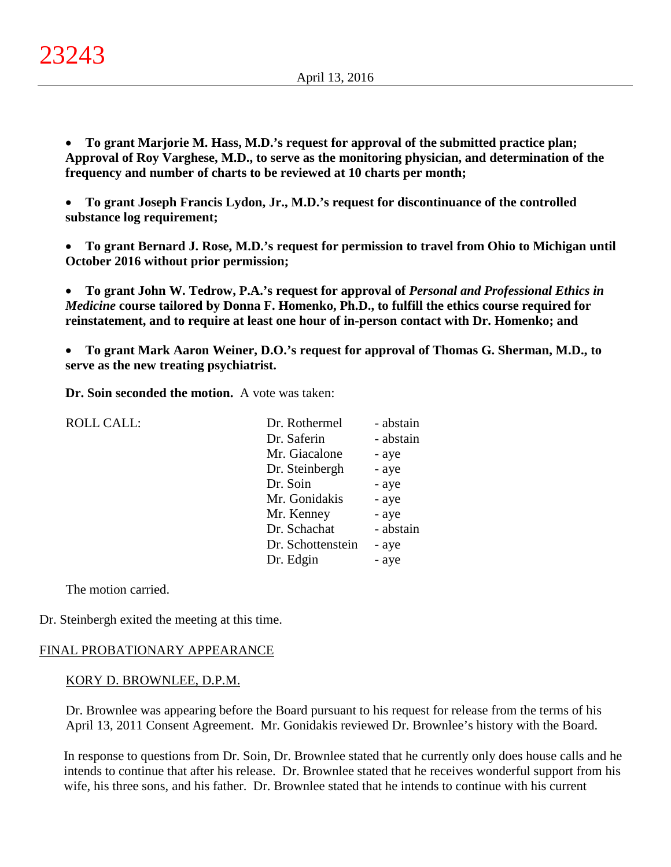• **To grant Marjorie M. Hass, M.D.'s request for approval of the submitted practice plan; Approval of Roy Varghese, M.D., to serve as the monitoring physician, and determination of the frequency and number of charts to be reviewed at 10 charts per month;**

• **To grant Joseph Francis Lydon, Jr., M.D.'s request for discontinuance of the controlled substance log requirement;**

• **To grant Bernard J. Rose, M.D.'s request for permission to travel from Ohio to Michigan until October 2016 without prior permission;**

• **To grant John W. Tedrow, P.A.'s request for approval of** *Personal and Professional Ethics in Medicine* **course tailored by Donna F. Homenko, Ph.D., to fulfill the ethics course required for reinstatement, and to require at least one hour of in-person contact with Dr. Homenko; and**

• **To grant Mark Aaron Weiner, D.O.'s request for approval of Thomas G. Sherman, M.D., to serve as the new treating psychiatrist.**

**Dr. Soin seconded the motion.** A vote was taken:

| <b>ROLL CALL:</b> | Dr. Rothermel     | - abstain |
|-------------------|-------------------|-----------|
|                   | Dr. Saferin       | - abstain |
|                   | Mr. Giacalone     | - aye     |
|                   | Dr. Steinbergh    | - aye     |
|                   | Dr. Soin          | - aye     |
|                   | Mr. Gonidakis     | - aye     |
|                   | Mr. Kenney        | - aye     |
|                   | Dr. Schachat      | - abstain |
|                   | Dr. Schottenstein | - aye     |
|                   | Dr. Edgin         | - aye     |
|                   |                   |           |

The motion carried.

Dr. Steinbergh exited the meeting at this time.

## FINAL PROBATIONARY APPEARANCE

#### KORY D. BROWNLEE, D.P.M.

Dr. Brownlee was appearing before the Board pursuant to his request for release from the terms of his April 13, 2011 Consent Agreement. Mr. Gonidakis reviewed Dr. Brownlee's history with the Board.

In response to questions from Dr. Soin, Dr. Brownlee stated that he currently only does house calls and he intends to continue that after his release. Dr. Brownlee stated that he receives wonderful support from his wife, his three sons, and his father. Dr. Brownlee stated that he intends to continue with his current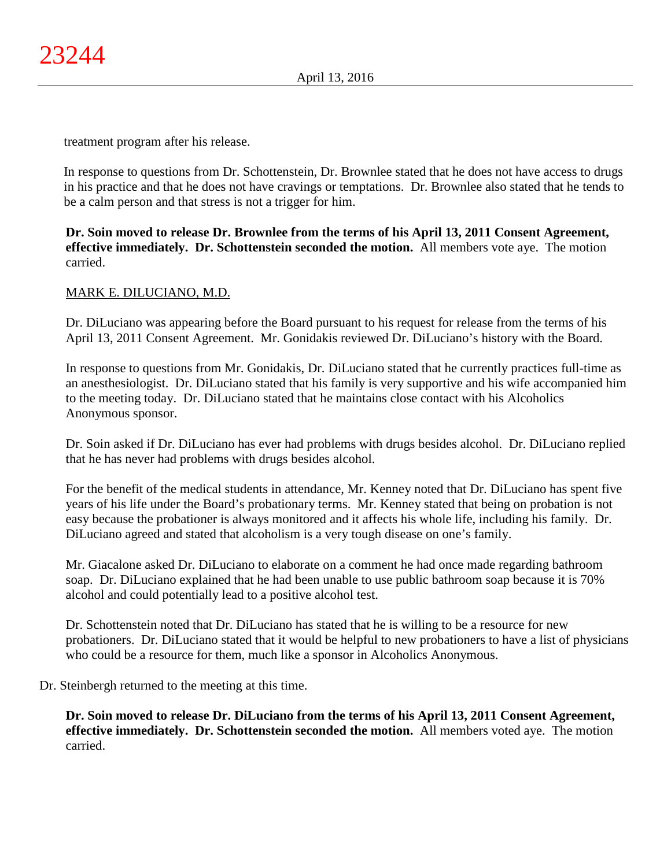treatment program after his release.

In response to questions from Dr. Schottenstein, Dr. Brownlee stated that he does not have access to drugs in his practice and that he does not have cravings or temptations. Dr. Brownlee also stated that he tends to be a calm person and that stress is not a trigger for him.

**Dr. Soin moved to release Dr. Brownlee from the terms of his April 13, 2011 Consent Agreement, effective immediately. Dr. Schottenstein seconded the motion.** All members vote aye. The motion carried.

## MARK E. DILUCIANO, M.D.

Dr. DiLuciano was appearing before the Board pursuant to his request for release from the terms of his April 13, 2011 Consent Agreement. Mr. Gonidakis reviewed Dr. DiLuciano's history with the Board.

In response to questions from Mr. Gonidakis, Dr. DiLuciano stated that he currently practices full-time as an anesthesiologist. Dr. DiLuciano stated that his family is very supportive and his wife accompanied him to the meeting today. Dr. DiLuciano stated that he maintains close contact with his Alcoholics Anonymous sponsor.

Dr. Soin asked if Dr. DiLuciano has ever had problems with drugs besides alcohol. Dr. DiLuciano replied that he has never had problems with drugs besides alcohol.

For the benefit of the medical students in attendance, Mr. Kenney noted that Dr. DiLuciano has spent five years of his life under the Board's probationary terms. Mr. Kenney stated that being on probation is not easy because the probationer is always monitored and it affects his whole life, including his family. Dr. DiLuciano agreed and stated that alcoholism is a very tough disease on one's family.

Mr. Giacalone asked Dr. DiLuciano to elaborate on a comment he had once made regarding bathroom soap. Dr. DiLuciano explained that he had been unable to use public bathroom soap because it is 70% alcohol and could potentially lead to a positive alcohol test.

Dr. Schottenstein noted that Dr. DiLuciano has stated that he is willing to be a resource for new probationers. Dr. DiLuciano stated that it would be helpful to new probationers to have a list of physicians who could be a resource for them, much like a sponsor in Alcoholics Anonymous.

Dr. Steinbergh returned to the meeting at this time.

**Dr. Soin moved to release Dr. DiLuciano from the terms of his April 13, 2011 Consent Agreement, effective immediately. Dr. Schottenstein seconded the motion.** All members voted aye. The motion carried.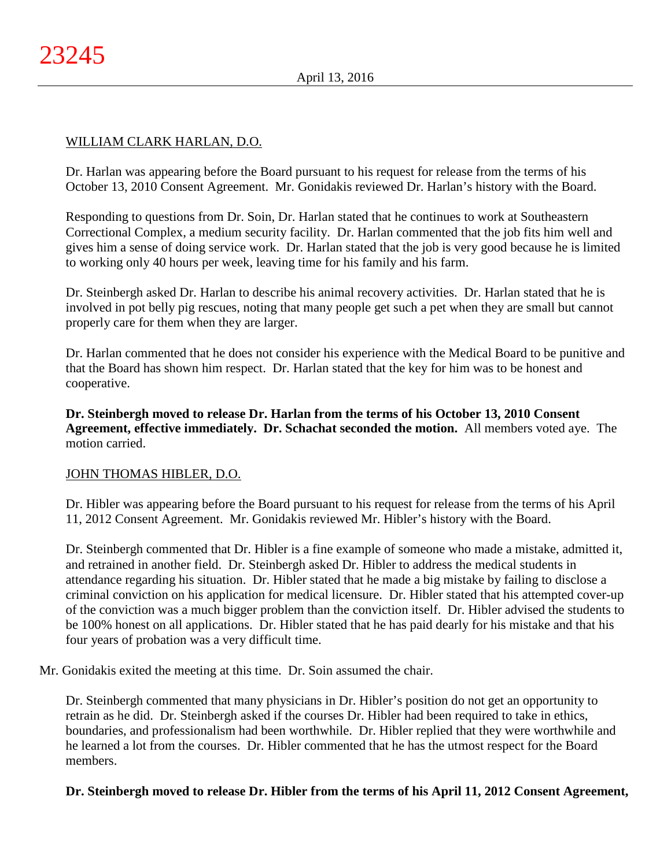## WILLIAM CLARK HARLAN, D.O.

Dr. Harlan was appearing before the Board pursuant to his request for release from the terms of his October 13, 2010 Consent Agreement. Mr. Gonidakis reviewed Dr. Harlan's history with the Board.

Responding to questions from Dr. Soin, Dr. Harlan stated that he continues to work at Southeastern Correctional Complex, a medium security facility. Dr. Harlan commented that the job fits him well and gives him a sense of doing service work. Dr. Harlan stated that the job is very good because he is limited to working only 40 hours per week, leaving time for his family and his farm.

Dr. Steinbergh asked Dr. Harlan to describe his animal recovery activities. Dr. Harlan stated that he is involved in pot belly pig rescues, noting that many people get such a pet when they are small but cannot properly care for them when they are larger.

Dr. Harlan commented that he does not consider his experience with the Medical Board to be punitive and that the Board has shown him respect. Dr. Harlan stated that the key for him was to be honest and cooperative.

**Dr. Steinbergh moved to release Dr. Harlan from the terms of his October 13, 2010 Consent Agreement, effective immediately. Dr. Schachat seconded the motion.** All members voted aye. The motion carried.

## JOHN THOMAS HIBLER, D.O.

Dr. Hibler was appearing before the Board pursuant to his request for release from the terms of his April 11, 2012 Consent Agreement. Mr. Gonidakis reviewed Mr. Hibler's history with the Board.

Dr. Steinbergh commented that Dr. Hibler is a fine example of someone who made a mistake, admitted it, and retrained in another field. Dr. Steinbergh asked Dr. Hibler to address the medical students in attendance regarding his situation. Dr. Hibler stated that he made a big mistake by failing to disclose a criminal conviction on his application for medical licensure. Dr. Hibler stated that his attempted cover-up of the conviction was a much bigger problem than the conviction itself. Dr. Hibler advised the students to be 100% honest on all applications. Dr. Hibler stated that he has paid dearly for his mistake and that his four years of probation was a very difficult time.

Mr. Gonidakis exited the meeting at this time. Dr. Soin assumed the chair.

Dr. Steinbergh commented that many physicians in Dr. Hibler's position do not get an opportunity to retrain as he did. Dr. Steinbergh asked if the courses Dr. Hibler had been required to take in ethics, boundaries, and professionalism had been worthwhile. Dr. Hibler replied that they were worthwhile and he learned a lot from the courses. Dr. Hibler commented that he has the utmost respect for the Board members.

# **Dr. Steinbergh moved to release Dr. Hibler from the terms of his April 11, 2012 Consent Agreement,**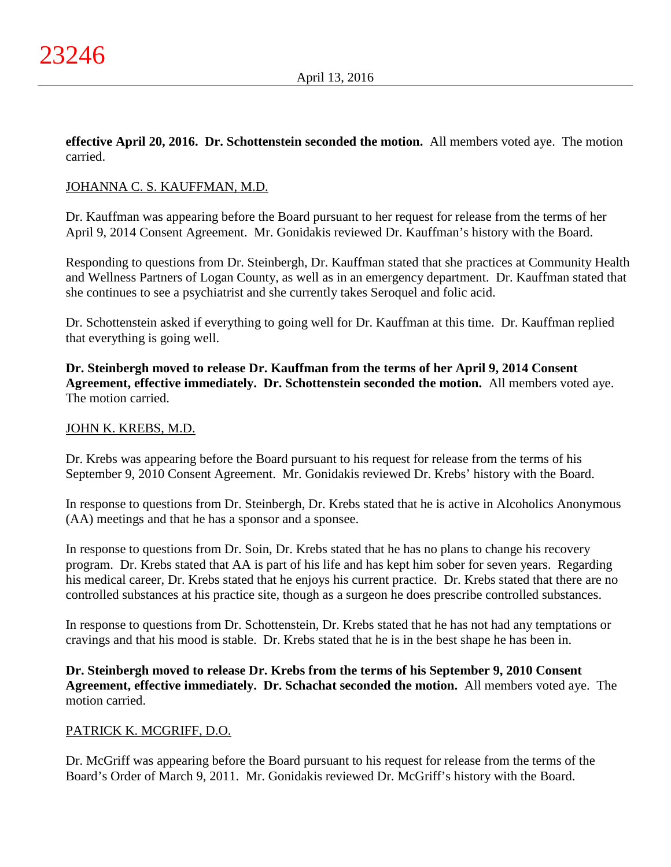**effective April 20, 2016. Dr. Schottenstein seconded the motion.** All members voted aye. The motion carried.

## JOHANNA C. S. KAUFFMAN, M.D.

Dr. Kauffman was appearing before the Board pursuant to her request for release from the terms of her April 9, 2014 Consent Agreement. Mr. Gonidakis reviewed Dr. Kauffman's history with the Board.

Responding to questions from Dr. Steinbergh, Dr. Kauffman stated that she practices at Community Health and Wellness Partners of Logan County, as well as in an emergency department. Dr. Kauffman stated that she continues to see a psychiatrist and she currently takes Seroquel and folic acid.

Dr. Schottenstein asked if everything to going well for Dr. Kauffman at this time. Dr. Kauffman replied that everything is going well.

**Dr. Steinbergh moved to release Dr. Kauffman from the terms of her April 9, 2014 Consent Agreement, effective immediately. Dr. Schottenstein seconded the motion.** All members voted aye. The motion carried.

## JOHN K. KREBS, M.D.

Dr. Krebs was appearing before the Board pursuant to his request for release from the terms of his September 9, 2010 Consent Agreement. Mr. Gonidakis reviewed Dr. Krebs' history with the Board.

In response to questions from Dr. Steinbergh, Dr. Krebs stated that he is active in Alcoholics Anonymous (AA) meetings and that he has a sponsor and a sponsee.

In response to questions from Dr. Soin, Dr. Krebs stated that he has no plans to change his recovery program. Dr. Krebs stated that AA is part of his life and has kept him sober for seven years. Regarding his medical career, Dr. Krebs stated that he enjoys his current practice. Dr. Krebs stated that there are no controlled substances at his practice site, though as a surgeon he does prescribe controlled substances.

In response to questions from Dr. Schottenstein, Dr. Krebs stated that he has not had any temptations or cravings and that his mood is stable. Dr. Krebs stated that he is in the best shape he has been in.

**Dr. Steinbergh moved to release Dr. Krebs from the terms of his September 9, 2010 Consent Agreement, effective immediately. Dr. Schachat seconded the motion.** All members voted aye. The motion carried.

# PATRICK K. MCGRIFF, D.O.

Dr. McGriff was appearing before the Board pursuant to his request for release from the terms of the Board's Order of March 9, 2011. Mr. Gonidakis reviewed Dr. McGriff's history with the Board.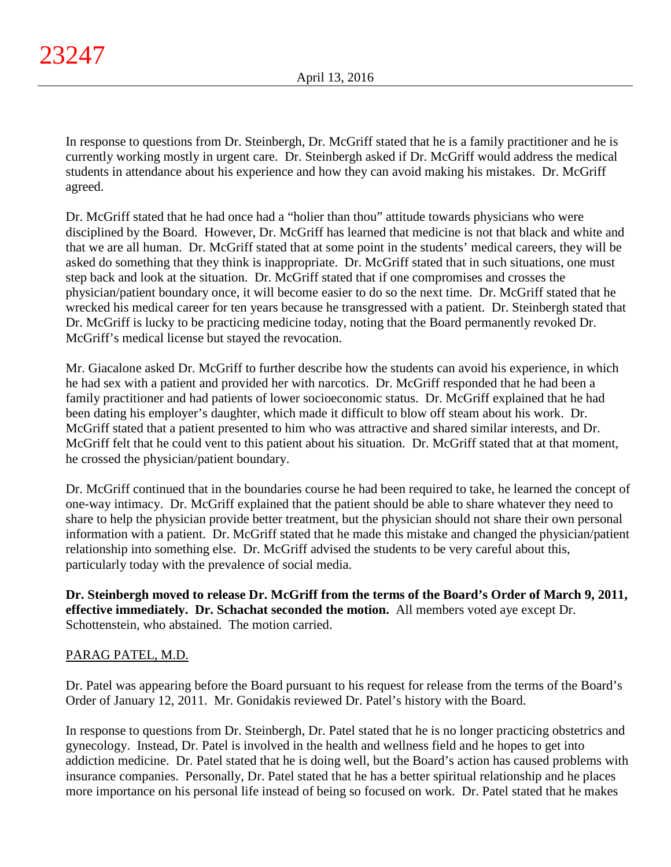In response to questions from Dr. Steinbergh, Dr. McGriff stated that he is a family practitioner and he is currently working mostly in urgent care. Dr. Steinbergh asked if Dr. McGriff would address the medical students in attendance about his experience and how they can avoid making his mistakes. Dr. McGriff agreed.

Dr. McGriff stated that he had once had a "holier than thou" attitude towards physicians who were disciplined by the Board. However, Dr. McGriff has learned that medicine is not that black and white and that we are all human. Dr. McGriff stated that at some point in the students' medical careers, they will be asked do something that they think is inappropriate. Dr. McGriff stated that in such situations, one must step back and look at the situation. Dr. McGriff stated that if one compromises and crosses the physician/patient boundary once, it will become easier to do so the next time. Dr. McGriff stated that he wrecked his medical career for ten years because he transgressed with a patient. Dr. Steinbergh stated that Dr. McGriff is lucky to be practicing medicine today, noting that the Board permanently revoked Dr. McGriff's medical license but stayed the revocation.

Mr. Giacalone asked Dr. McGriff to further describe how the students can avoid his experience, in which he had sex with a patient and provided her with narcotics. Dr. McGriff responded that he had been a family practitioner and had patients of lower socioeconomic status. Dr. McGriff explained that he had been dating his employer's daughter, which made it difficult to blow off steam about his work. Dr. McGriff stated that a patient presented to him who was attractive and shared similar interests, and Dr. McGriff felt that he could vent to this patient about his situation. Dr. McGriff stated that at that moment, he crossed the physician/patient boundary.

Dr. McGriff continued that in the boundaries course he had been required to take, he learned the concept of one-way intimacy. Dr. McGriff explained that the patient should be able to share whatever they need to share to help the physician provide better treatment, but the physician should not share their own personal information with a patient. Dr. McGriff stated that he made this mistake and changed the physician/patient relationship into something else. Dr. McGriff advised the students to be very careful about this, particularly today with the prevalence of social media.

**Dr. Steinbergh moved to release Dr. McGriff from the terms of the Board's Order of March 9, 2011, effective immediately. Dr. Schachat seconded the motion.** All members voted aye except Dr. Schottenstein, who abstained. The motion carried.

# PARAG PATEL, M.D.

Dr. Patel was appearing before the Board pursuant to his request for release from the terms of the Board's Order of January 12, 2011. Mr. Gonidakis reviewed Dr. Patel's history with the Board.

In response to questions from Dr. Steinbergh, Dr. Patel stated that he is no longer practicing obstetrics and gynecology. Instead, Dr. Patel is involved in the health and wellness field and he hopes to get into addiction medicine. Dr. Patel stated that he is doing well, but the Board's action has caused problems with insurance companies. Personally, Dr. Patel stated that he has a better spiritual relationship and he places more importance on his personal life instead of being so focused on work. Dr. Patel stated that he makes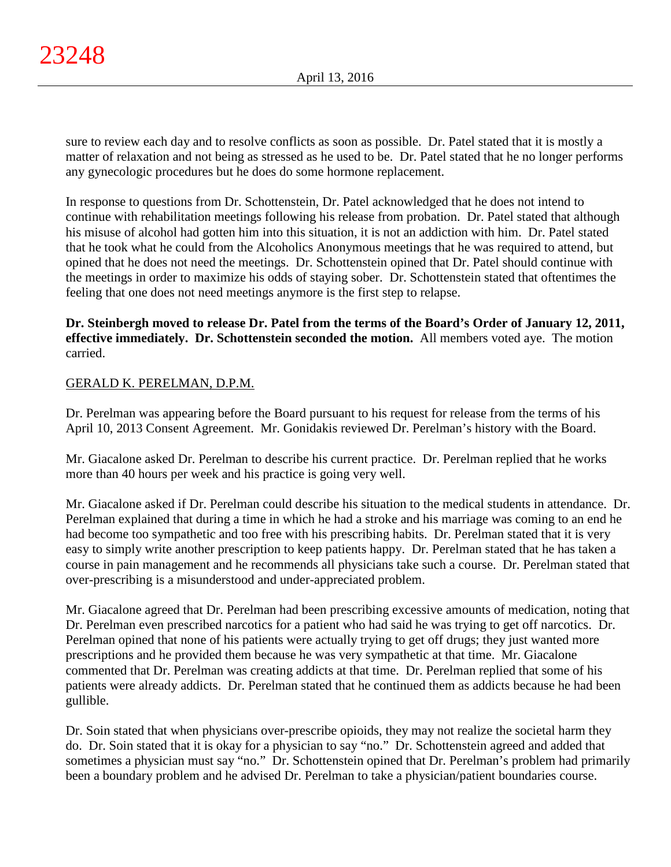sure to review each day and to resolve conflicts as soon as possible. Dr. Patel stated that it is mostly a matter of relaxation and not being as stressed as he used to be. Dr. Patel stated that he no longer performs any gynecologic procedures but he does do some hormone replacement.

In response to questions from Dr. Schottenstein, Dr. Patel acknowledged that he does not intend to continue with rehabilitation meetings following his release from probation. Dr. Patel stated that although his misuse of alcohol had gotten him into this situation, it is not an addiction with him. Dr. Patel stated that he took what he could from the Alcoholics Anonymous meetings that he was required to attend, but opined that he does not need the meetings. Dr. Schottenstein opined that Dr. Patel should continue with the meetings in order to maximize his odds of staying sober. Dr. Schottenstein stated that oftentimes the feeling that one does not need meetings anymore is the first step to relapse.

**Dr. Steinbergh moved to release Dr. Patel from the terms of the Board's Order of January 12, 2011, effective immediately. Dr. Schottenstein seconded the motion.** All members voted aye. The motion carried.

# GERALD K. PERELMAN, D.P.M.

Dr. Perelman was appearing before the Board pursuant to his request for release from the terms of his April 10, 2013 Consent Agreement. Mr. Gonidakis reviewed Dr. Perelman's history with the Board.

Mr. Giacalone asked Dr. Perelman to describe his current practice. Dr. Perelman replied that he works more than 40 hours per week and his practice is going very well.

Mr. Giacalone asked if Dr. Perelman could describe his situation to the medical students in attendance. Dr. Perelman explained that during a time in which he had a stroke and his marriage was coming to an end he had become too sympathetic and too free with his prescribing habits. Dr. Perelman stated that it is very easy to simply write another prescription to keep patients happy. Dr. Perelman stated that he has taken a course in pain management and he recommends all physicians take such a course. Dr. Perelman stated that over-prescribing is a misunderstood and under-appreciated problem.

Mr. Giacalone agreed that Dr. Perelman had been prescribing excessive amounts of medication, noting that Dr. Perelman even prescribed narcotics for a patient who had said he was trying to get off narcotics. Dr. Perelman opined that none of his patients were actually trying to get off drugs; they just wanted more prescriptions and he provided them because he was very sympathetic at that time. Mr. Giacalone commented that Dr. Perelman was creating addicts at that time. Dr. Perelman replied that some of his patients were already addicts. Dr. Perelman stated that he continued them as addicts because he had been gullible.

Dr. Soin stated that when physicians over-prescribe opioids, they may not realize the societal harm they do. Dr. Soin stated that it is okay for a physician to say "no." Dr. Schottenstein agreed and added that sometimes a physician must say "no." Dr. Schottenstein opined that Dr. Perelman's problem had primarily been a boundary problem and he advised Dr. Perelman to take a physician/patient boundaries course.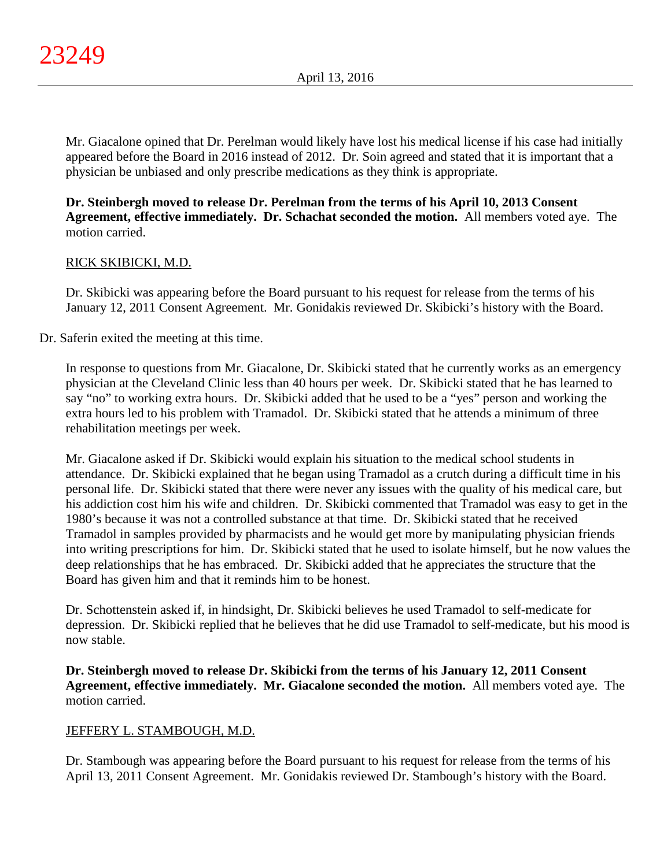Mr. Giacalone opined that Dr. Perelman would likely have lost his medical license if his case had initially appeared before the Board in 2016 instead of 2012. Dr. Soin agreed and stated that it is important that a physician be unbiased and only prescribe medications as they think is appropriate.

# **Dr. Steinbergh moved to release Dr. Perelman from the terms of his April 10, 2013 Consent Agreement, effective immediately. Dr. Schachat seconded the motion.** All members voted aye. The motion carried.

# RICK SKIBICKI, M.D.

Dr. Skibicki was appearing before the Board pursuant to his request for release from the terms of his January 12, 2011 Consent Agreement. Mr. Gonidakis reviewed Dr. Skibicki's history with the Board.

## Dr. Saferin exited the meeting at this time.

In response to questions from Mr. Giacalone, Dr. Skibicki stated that he currently works as an emergency physician at the Cleveland Clinic less than 40 hours per week. Dr. Skibicki stated that he has learned to say "no" to working extra hours. Dr. Skibicki added that he used to be a "yes" person and working the extra hours led to his problem with Tramadol. Dr. Skibicki stated that he attends a minimum of three rehabilitation meetings per week.

Mr. Giacalone asked if Dr. Skibicki would explain his situation to the medical school students in attendance. Dr. Skibicki explained that he began using Tramadol as a crutch during a difficult time in his personal life. Dr. Skibicki stated that there were never any issues with the quality of his medical care, but his addiction cost him his wife and children. Dr. Skibicki commented that Tramadol was easy to get in the 1980's because it was not a controlled substance at that time. Dr. Skibicki stated that he received Tramadol in samples provided by pharmacists and he would get more by manipulating physician friends into writing prescriptions for him. Dr. Skibicki stated that he used to isolate himself, but he now values the deep relationships that he has embraced. Dr. Skibicki added that he appreciates the structure that the Board has given him and that it reminds him to be honest.

Dr. Schottenstein asked if, in hindsight, Dr. Skibicki believes he used Tramadol to self-medicate for depression. Dr. Skibicki replied that he believes that he did use Tramadol to self-medicate, but his mood is now stable.

**Dr. Steinbergh moved to release Dr. Skibicki from the terms of his January 12, 2011 Consent Agreement, effective immediately. Mr. Giacalone seconded the motion.** All members voted aye. The motion carried.

## JEFFERY L. STAMBOUGH, M.D.

Dr. Stambough was appearing before the Board pursuant to his request for release from the terms of his April 13, 2011 Consent Agreement. Mr. Gonidakis reviewed Dr. Stambough's history with the Board.